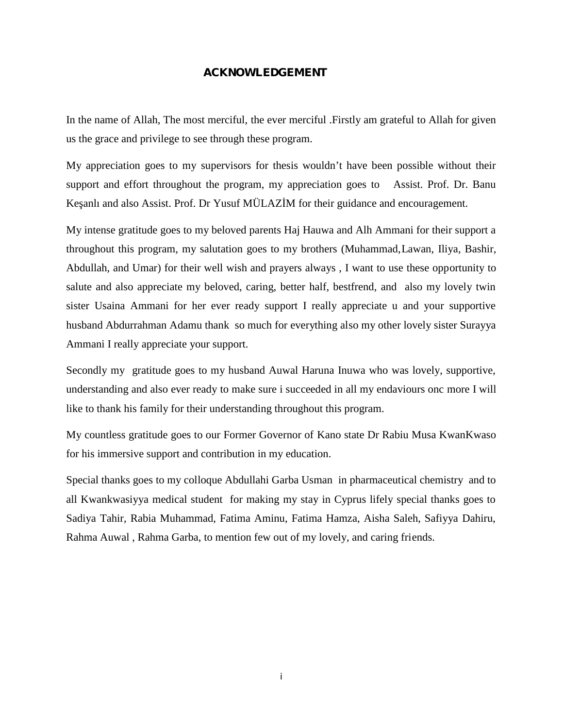#### **ACKNOWLEDGEMENT**

In the name of Allah, The most merciful, the ever merciful .Firstly am grateful to Allah for given us the grace and privilege to see through these program.

My appreciation goes to my supervisors for thesis wouldn't have been possible without their support and effort throughout the program, my appreciation goes to Assist. Prof. Dr. Banu Ke anlı and also Assist. Prof. Dr Yusuf MÜLAZ M for their guidance and encouragement.

My intense gratitude goes to my beloved parents Haj Hauwa and Alh Ammani for their support a throughout this program, my salutation goes to my brothers (Muhammad,Lawan, Iliya, Bashir, Abdullah, and Umar) for their well wish and prayers always , I want to use these opportunity to salute and also appreciate my beloved, caring, better half, bestfrend, and also my lovely twin sister Usaina Ammani for her ever ready support I really appreciate u and your supportive husband Abdurrahman Adamu thank so much for everything also my other lovely sister Surayya Ammani I really appreciate your support.

Secondly my gratitude goes to my husband Auwal Haruna Inuwa who was lovely, supportive, understanding and also ever ready to make sure i succeeded in all my endaviours onc more I will like to thank his family for their understanding throughout this program.

My countless gratitude goes to our Former Governor of Kano state Dr Rabiu Musa KwanKwaso for his immersive support and contribution in my education.

Special thanks goes to my colloque Abdullahi Garba Usman in pharmaceutical chemistry and to all Kwankwasiyya medical student for making my stay in Cyprus lifely special thanks goes to Sadiya Tahir, Rabia Muhammad, Fatima Aminu, Fatima Hamza, Aisha Saleh, Safiyya Dahiru, Rahma Auwal , Rahma Garba, to mention few out of my lovely, and caring friends.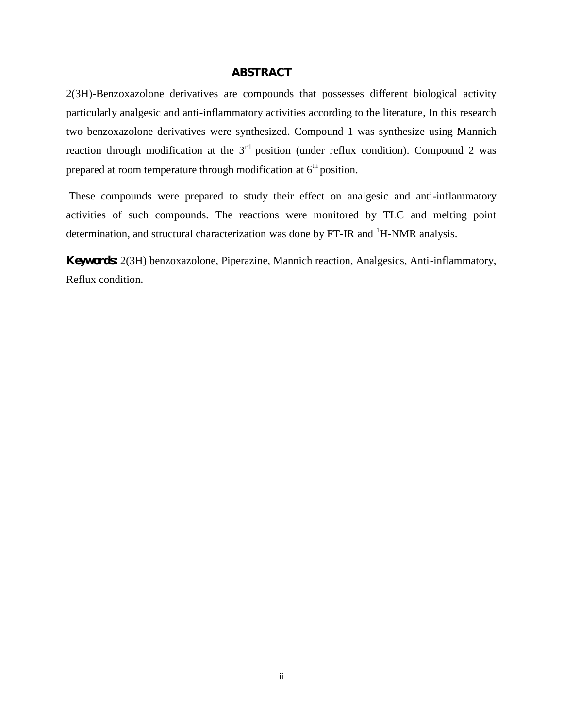#### **ABSTRACT**

2(3H)-Benzoxazolone derivatives are compounds that possesses different biological activity particularly analgesic and anti-inflammatory activities according to the literature, In this research two benzoxazolone derivatives were synthesized. Compound 1 was synthesize using Mannich reaction through modification at the  $3<sup>rd</sup>$  position (under reflux condition). Compound 2 was prepared at room temperature through modification at  $6<sup>th</sup>$  position.

These compounds were prepared to study their effect on analgesic and anti-inflammatory activities of such compounds. The reactions were monitored by TLC and melting point determination, and structural characterization was done by  $FT$ -IR and  $^1$ H-NMR analysis.

**Keywords:** 2(3H) benzoxazolone, Piperazine, Mannich reaction, Analgesics, Anti-inflammatory, Reflux condition.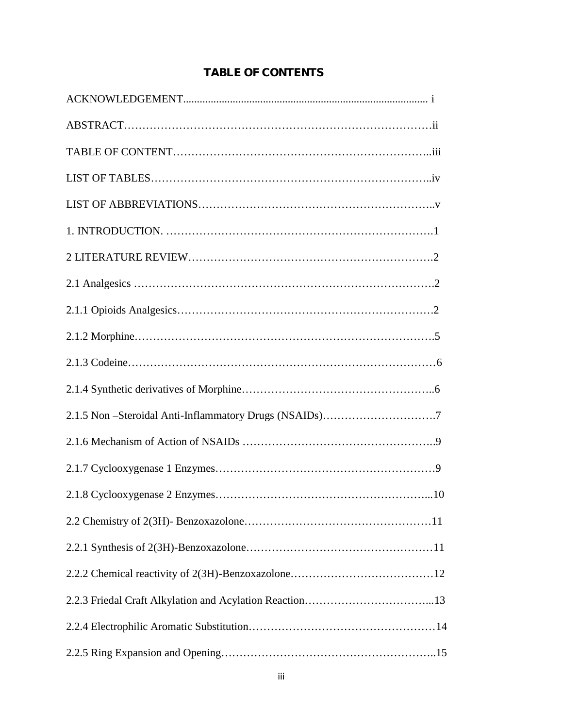## **TABLE OF CONTENTS**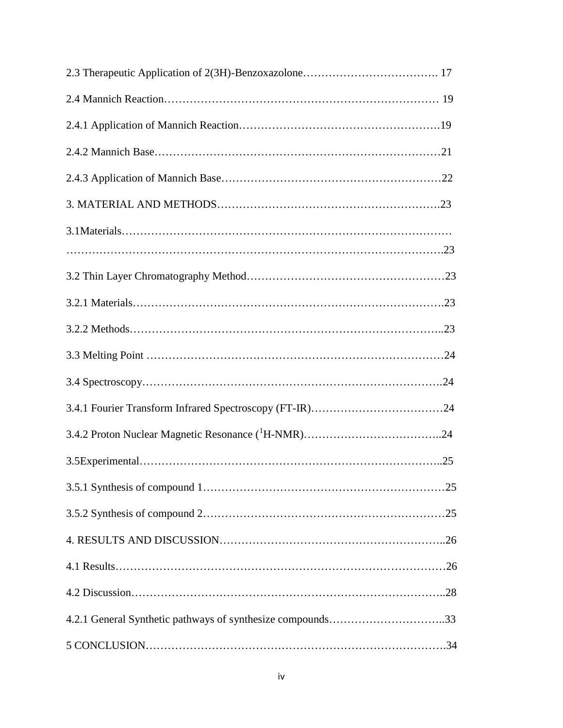| 4.2.1 General Synthetic pathways of synthesize compounds33 |  |
|------------------------------------------------------------|--|
|                                                            |  |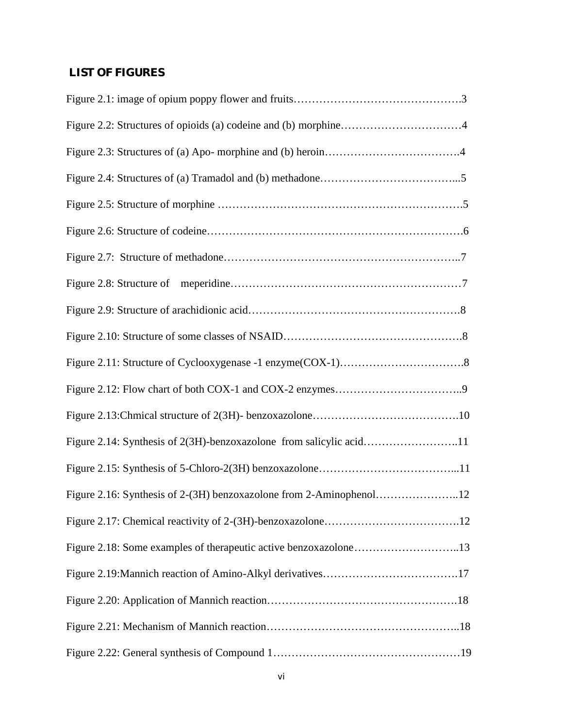## **LIST OF FIGURES**

| Figure 2.14: Synthesis of 2(3H)-benzoxazolone from salicylic acid11 |
|---------------------------------------------------------------------|
|                                                                     |
| Figure 2.16: Synthesis of 2-(3H) benzoxazolone from 2-Aminophenol12 |
|                                                                     |
|                                                                     |
|                                                                     |
|                                                                     |
|                                                                     |
|                                                                     |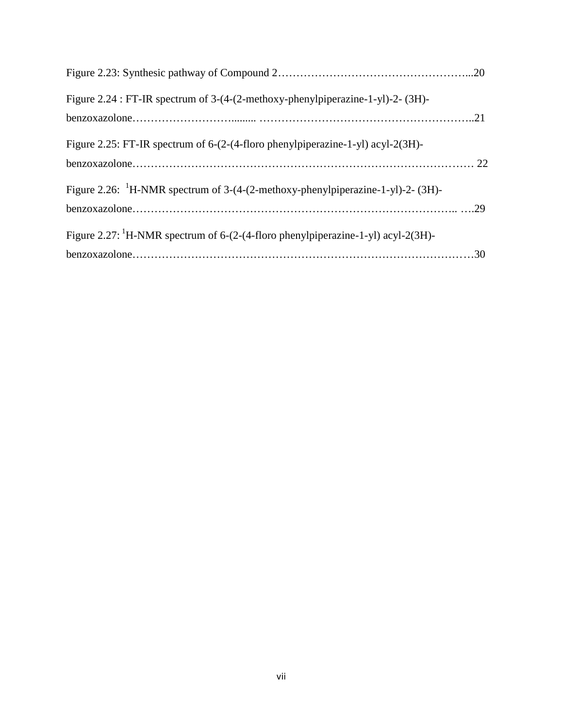| Figure 2.24 : FT-IR spectrum of 3-(4-(2-methoxy-phenylpiperazine-1-yl)-2- (3H)-              |  |
|----------------------------------------------------------------------------------------------|--|
|                                                                                              |  |
| Figure 2.25: FT-IR spectrum of 6-(2-(4-floro phenylpiperazine-1-yl) acyl-2(3H)-              |  |
|                                                                                              |  |
| Figure 2.26: ${}^{1}$ H-NMR spectrum of 3-(4-(2-methoxy-phenylpiperazine-1-yl)-2- (3H)-      |  |
|                                                                                              |  |
| Figure 2.27: <sup>1</sup> H-NMR spectrum of 6-(2-(4-floro phenylpiperazine-1-yl) acyl-2(3H)- |  |
|                                                                                              |  |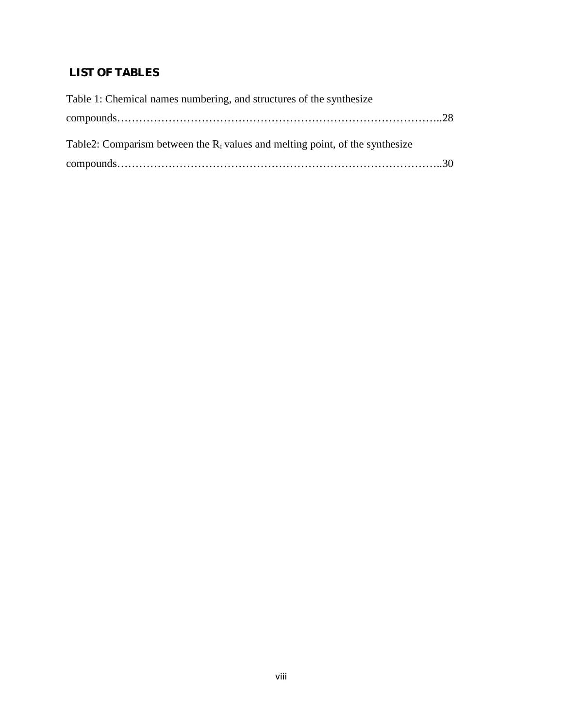## **LIST OF TABLES**

| Table 1: Chemical names numbering, and structures of the synthesize              |  |
|----------------------------------------------------------------------------------|--|
| $compounds. \dots 128$                                                           |  |
| Table 2: Comparism between the $R_f$ values and melting point, of the synthesize |  |
| $compounds. \dots 30$                                                            |  |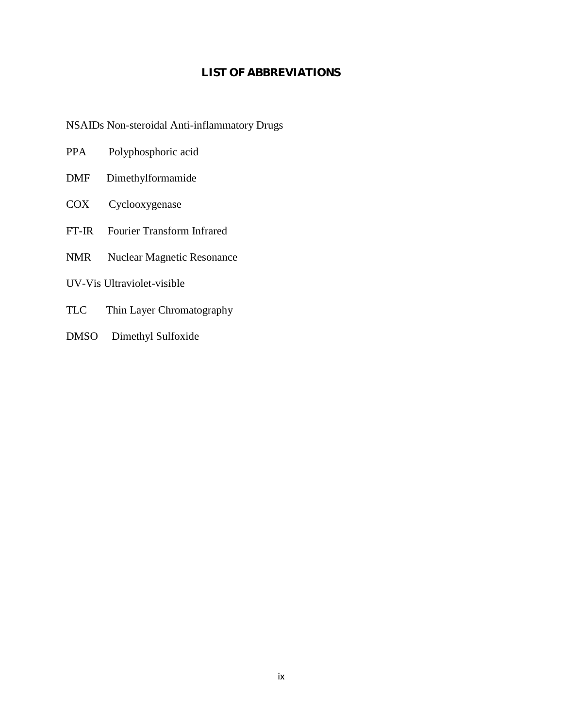## **LIST OF ABBREVIATIONS**

NSAIDs Non-steroidal Anti-inflammatory Drugs

| Polyphosphoric acid<br><b>PPA</b> |  |
|-----------------------------------|--|
|-----------------------------------|--|

- DMF Dimethylformamide
- COX Cyclooxygenase
- FT-IR Fourier Transform Infrared
- NMR Nuclear Magnetic Resonance
- UV-Vis Ultraviolet-visible
- TLC Thin Layer Chromatography
- DMSO Dimethyl Sulfoxide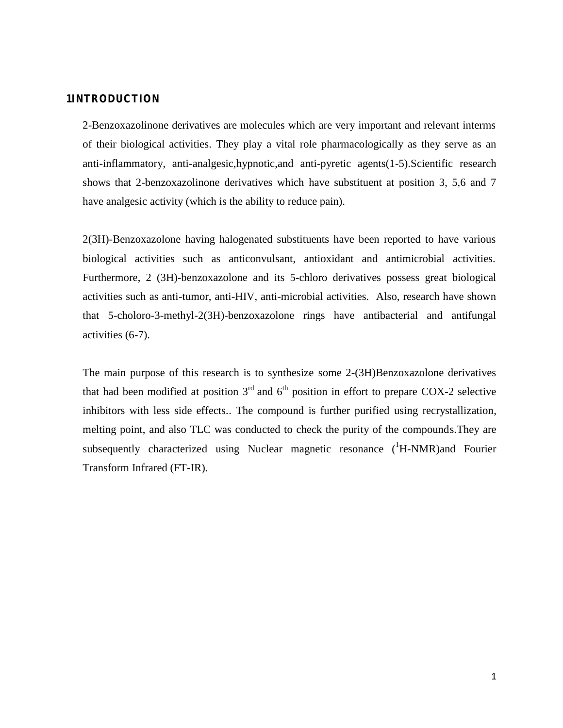### **1INTRODUCTION**

2-Benzoxazolinone derivatives are molecules which are very important and relevant interms of their biological activities. They play a vital role pharmacologically as they serve as an anti-inflammatory, anti-analgesic,hypnotic,and anti-pyretic agents(1-5).Scientific research shows that 2-benzoxazolinone derivatives which have substituent at position 3, 5,6 and 7 have analgesic activity (which is the ability to reduce pain).

2(3H)-Benzoxazolone having halogenated substituents have been reported to have various biological activities such as anticonvulsant, antioxidant and antimicrobial activities. Furthermore, 2 (3H)-benzoxazolone and its 5-chloro derivatives possess great biological activities such as anti-tumor, anti-HIV, anti-microbial activities. Also, research have shown that 5-choloro-3-methyl-2(3H)-benzoxazolone rings have antibacterial and antifungal activities (6-7).

The main purpose of this research is to synthesize some 2-(3H)Benzoxazolone derivatives that had been modified at position  $3<sup>rd</sup>$  and  $6<sup>th</sup>$  position in effort to prepare COX-2 selective inhibitors with less side effects.. The compound is further purified using recrystallization, melting point, and also TLC was conducted to check the purity of the compounds.They are subsequently characterized using Nuclear magnetic resonance  $({}^{1}H\text{-}NMR)$  and Fourier Transform Infrared (FT-IR).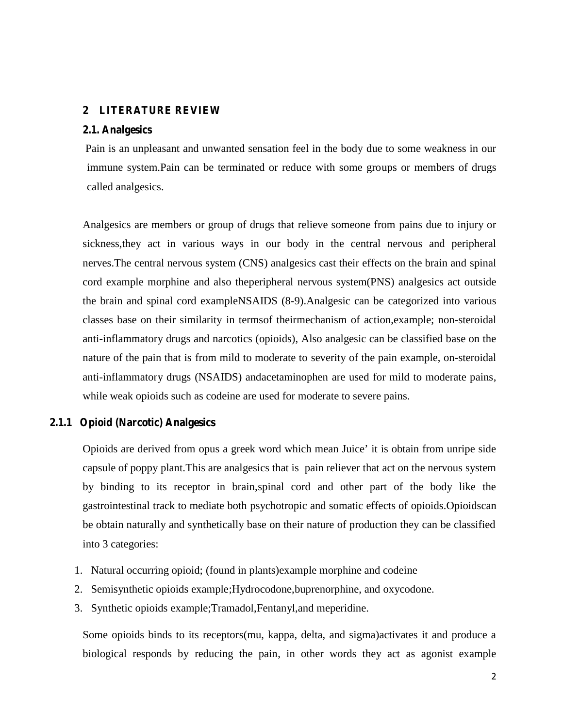## **2 LITERATURE REVIEW**

#### **2.1. Analgesics**

Pain is an unpleasant and unwanted sensation feel in the body due to some weakness in our immune system.Pain can be terminated or reduce with some groups or members of drugs called analgesics.

Analgesics are members or group of drugs that relieve someone from pains due to injury or sickness,they act in various ways in our body in the central nervous and peripheral nerves.The central nervous system (CNS) analgesics cast their effects on the brain and spinal cord example morphine and also theperipheral nervous system(PNS) analgesics act outside the brain and spinal cord exampleNSAIDS (8-9).Analgesic can be categorized into various classes base on their similarity in termsof theirmechanism of action,example; non-steroidal anti-inflammatory drugs and narcotics (opioids), Also analgesic can be classified base on the nature of the pain that is from mild to moderate to severity of the pain example, on-steroidal anti-inflammatory drugs (NSAIDS) andacetaminophen are used for mild to moderate pains, while weak opioids such as codeine are used for moderate to severe pains.

## **2.1.1 Opioid (Narcotic) Analgesics**

Opioids are derived from opus a greek word which mean Juice' it is obtain from unripe side capsule of poppy plant.This are analgesics that is pain reliever that act on the nervous system by binding to its receptor in brain,spinal cord and other part of the body like the gastrointestinal track to mediate both psychotropic and somatic effects of opioids.Opioidscan be obtain naturally and synthetically base on their nature of production they can be classified into 3 categories:

- 1. Natural occurring opioid; (found in plants)example morphine and codeine
- 2. Semisynthetic opioids example;Hydrocodone,buprenorphine, and oxycodone.
- 3. Synthetic opioids example;Tramadol,Fentanyl,and meperidine.

Some opioids binds to its receptors(mu, kappa, delta, and sigma)activates it and produce a biological responds by reducing the pain, in other words they act as agonist example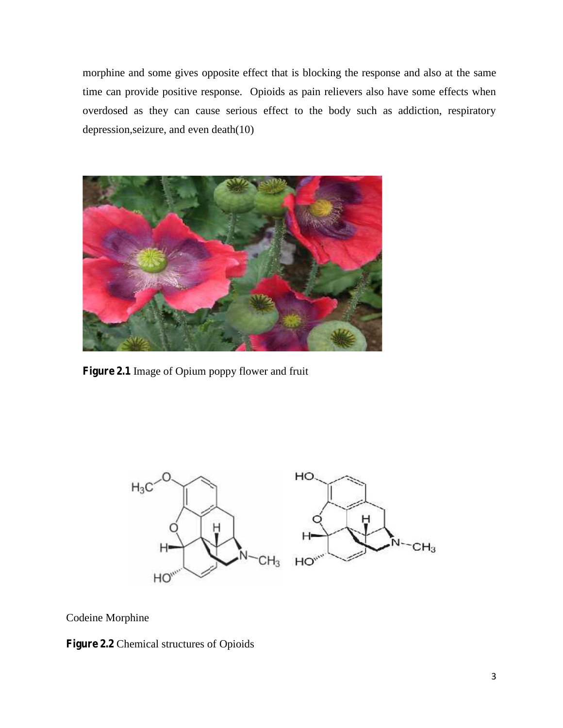morphine and some gives opposite effect that is blocking the response and also at the same time can provide positive response. Opioids as pain relievers also have some effects when overdosed as they can cause serious effect to the body such as addiction, respiratory depression,seizure, and even death(10)



**Figure 2.1** Image of Opium poppy flower and fruit



Codeine Morphine

**Figure 2.2** Chemical structures of Opioids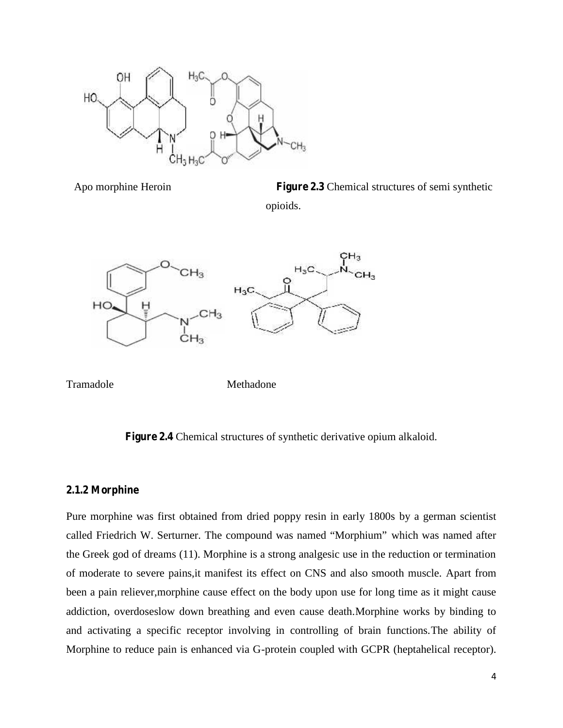

Apo morphine Heroin **Figure 2.3** Chemical structures of semi synthetic opioids.



Tramadole Methadone

**Figure 2.4** Chemical structures of synthetic derivative opium alkaloid.

## **2.1.2 Morphine**

Pure morphine was first obtained from dried poppy resin in early 1800s by a german scientist called Friedrich W. Serturner. The compound was named "Morphium" which was named after the Greek god of dreams (11). Morphine is a strong analgesic use in the reduction or termination of moderate to severe pains,it manifest its effect on CNS and also smooth muscle. Apart from been a pain reliever,morphine cause effect on the body upon use for long time as it might cause addiction, overdoseslow down breathing and even cause death.Morphine works by binding to and activating a specific receptor involving in controlling of brain functions.The ability of Morphine to reduce pain is enhanced via G-protein coupled with GCPR (heptahelical receptor).Figure 2.3 Chemical structures of semi synthetic<br>opioids.<br>H<sub>3</sub>C<br>H<sub>3</sub><br>H<sub>3</sub>C<br>H<sub>3</sub><br>Methadone<br>mundialstructures of synthetic derivative opium alkaloid.<br>Tructures of synthetic derivative opium alkaloid.<br>Functures of synthetic d Apartmorphine Heroin<br>
Was H<sub>3</sub>C CH<sub>3</sub><br>
H<sub>3</sub>C CH<sub>3</sub><br>
H<sub>3</sub>C CH<sub>3</sub><br>
H<sub>3</sub>C CH<sub>3</sub><br>
H<sub>3</sub>C CH<sub>3</sub><br>
H<sub>3</sub>C CH<sub>3</sub><br>
H<sub>3</sub>C CH<sub>3</sub><br>
H<sub>3</sub>C CH<sub>3</sub><br>
H<sub>3</sub>C CH<sub>3</sub><br>
H<sub>3</sub>C CH<sub>3</sub><br>
<br>
Pigure 2.4 Chemical structures of synthetic derivative opium alk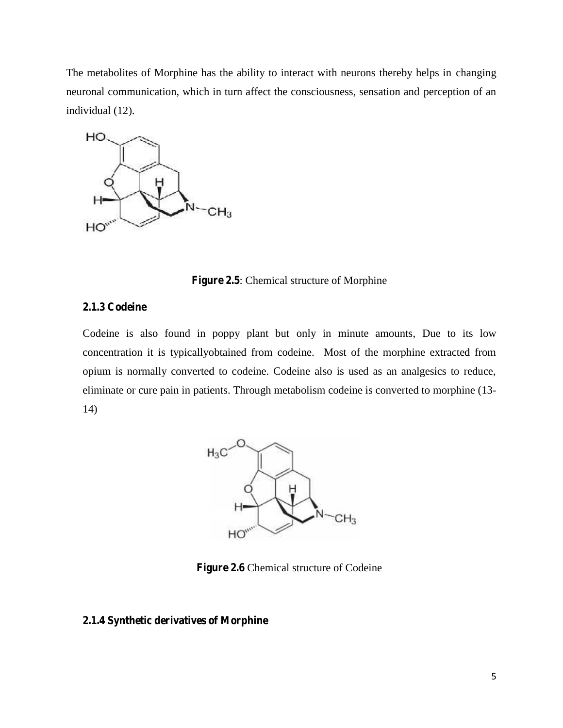The metabolites of Morphine has the ability to interact with neurons thereby helps in changing neuronal communication, which in turn affect the consciousness, sensation and perception of an individual (12).



**Figure 2.5**: Chemical structure of Morphine

#### **2.1.3 Codeine**

Codeine is also found in poppy plant but only in minute amounts, Due to its low concentration it is typicallyobtained from codeine. Most of the morphine extracted from opium is normally converted to codeine. Codeine also is used as an analgesics to reduce, eliminate or cure pain in patients. Through metabolism codeine is converted to morphine (13- 14) bility of Morphine has the ability to interact with neurons thereby helps in changing<br>normalication, which in turn affect the consciousness, sensation and perception of an<br>Figure 2.5. Chemical structure of Morphine<br>define



**Figure 2.6** Chemical structure of Codeine

#### **2.1.4 Synthetic derivatives of Morphine**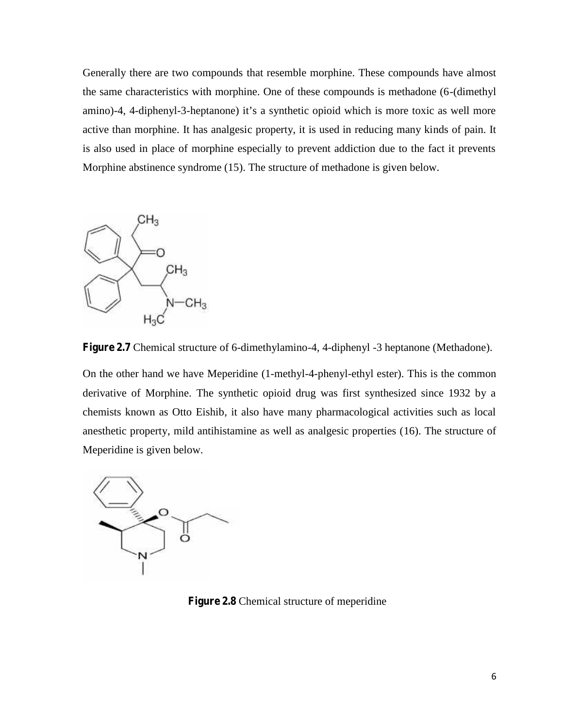Generally there are two compounds that resemble morphine. These compounds have almost the same characteristics with morphine. One of these compounds is methadone (6-(dimethyl amino)-4, 4-diphenyl-3-heptanone) it's a synthetic opioid which is more toxic as well more active than morphine. It has analgesic property, it is used in reducing many kinds of pain. It is also used in place of morphine especially to prevent addiction due to the fact it prevents Morphine abstinence syndrome (15). The structure of methadone is given below. Generally there are two compounds that resemble morphine. These compounds have almost<br>the same churacteristics with merphine. One of these compounds have thandene (6-dimently<br>nation) 4, 4 diphenyl 3-heptanone) it's a synth



**Figure 2.7** Chemical structure of 6-dimethylamino-4, 4-diphenyl -3 heptanone (Methadone).

On the other hand we have Meperidine (1-methyl-4-phenyl-ethyl ester). This is the common derivative of Morphine. The synthetic opioid drug was first synthesized since 1932 by a chemists known as Otto Eishib, it also have many pharmacological activities such as local anesthetic property, mild antihistamine as well as analgesic properties (16). The structure of Meperidine is given below.



**Figure 2.8** Chemical structure of meperidine **2.8**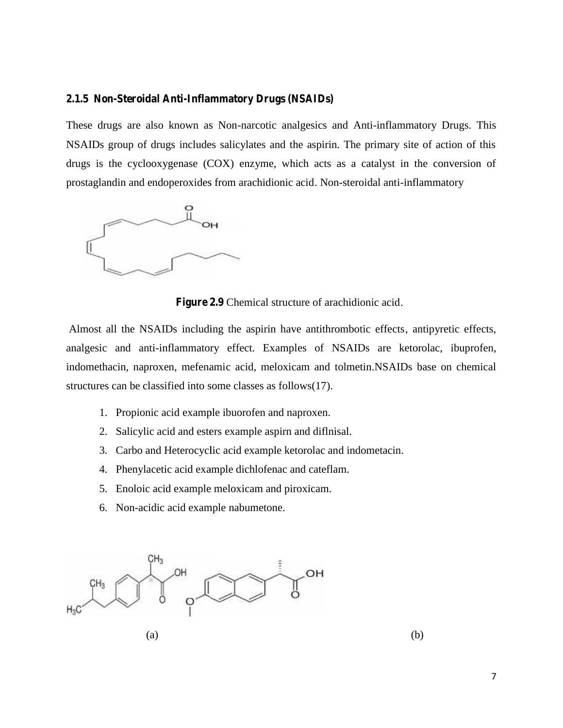#### **2.1.5 Non-Steroidal Anti-Inflammatory Drugs (NSAIDs)**

These drugs are also known as Non-narcotic analgesics and Anti-inflammatory Drugs. This NSAIDs group of drugs includes salicylates and the aspirin. The primary site of action of this drugs is the cyclooxygenase (COX) enzyme, which acts as a catalyst in the conversion of prostaglandin and endoperoxides from arachidionic acid. Non-steroidal anti-inflammatory



**Figure 2.9** Chemical structure of arachidionic acid.

Almost all the NSAIDs including the aspirin have antithrombotic effects, antipyretic effects, analgesic and anti-inflammatory effect. Examples of NSAIDs are ketorolac, ibuprofen, indomethacin, naproxen, mefenamic acid, meloxicam and tolmetin.NSAIDs base on chemical structures can be classified into some classes as follows(17). drugs is the cyclooxygenase (COX) enzyme, which acts as a catalyst in the conversion of<br>prostaglandin and endoperoxides from arachidionic acid. Non-steroidal anti-inflammatory<br>and the metricular of the microseticalstructur

- 1. Propionic acid example ibuorofen and naproxen.
- 2. Salicylic acid and esters example aspirn and diflnisal.
- 3. Carbo and Heterocyclic acid example ketorolac and indometacin. 2. Salicylic acid and esters example aspirn and diflnisal.<br>3. Carbo and Heterocyclic acid example ketorolac and indor<br>4. Phenylacetic acid example dichlofenac and cateflam.
- 
- 5. Enoloic acid example meloxicam and piroxicam.
- 6. Non-acidic acid example nabumetone.

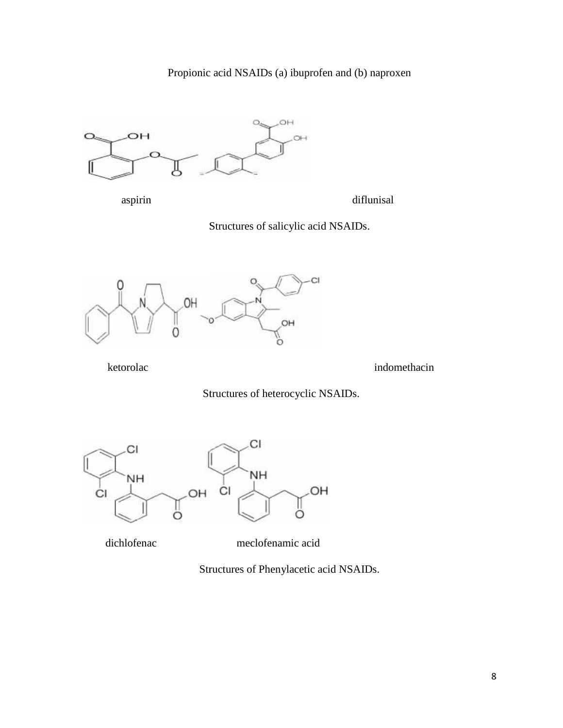

aspirin diflunisal

Structures of salicylic acid NSAIDs.



ketorolac indomethacin indomethacin indomethacin indomethacin indomethacin indomethacin indomethacin indomethacin indomethacin indomethacin indomethacin indomethacin indomethacin indomethacin indomethacin indomethacin indo

Structures of heterocyclic NSAIDs.



dichlofenac meclofenamic acid

Structures of Phenylacetic acid NSAIDs.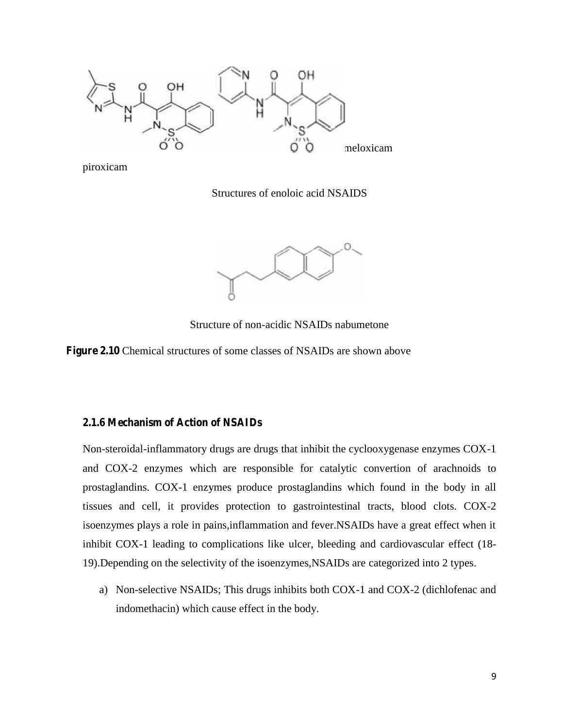

piroxicam

Structures of enoloic acid NSAIDS



Structure of non-acidic NSAIDs nabumetone

**Figure 2.10** Chemical structures of some classes of NSAIDs are shown above

## **2.1.6 Mechanism of Action of NSAIDs**

Non-steroidal-inflammatory drugs are drugs that inhibit the cyclooxygenase enzymes COX-1 and COX-2 enzymes which are responsible for catalytic convertion of arachnoids to prostaglandins. COX-1 enzymes produce prostaglandins which found in the body in all tissues and cell, it provides protection to gastrointestinal tracts, blood clots. COX-2 isoenzymes plays a role in pains,inflammation and fever.NSAIDs have a great effect when it inhibit COX-1 leading to complications like ulcer, bleeding and cardiovascular effect (18- 19).Depending on the selectivity of the isoenzymes,NSAIDs are categorized into 2 types. Structure of non-acidic NSAIDs nabumetone<br>
2.1.0 Chemical structures of some classes of NSAIDs are shown above<br>
2.1.6 Mechanism of Action of NSAIDs<br>
Non-steroidal-inflammatory drugs are drugs that inhibit the cyclooxygenas

a) Non-selective NSAIDs; This drugs inhibits both COX-1 and COX-2 (dichlofenac and indomethacin) which cause effect in the body.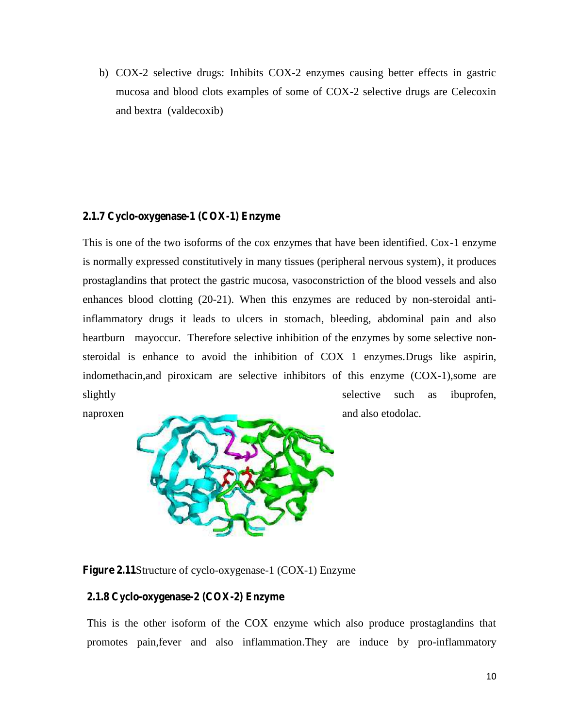b) COX-2 selective drugs: Inhibits COX-2 enzymes causing better effects in gastric mucosa and blood clots examples of some of COX-2 selective drugs are Celecoxin and bextra (valdecoxib)

## **2.1.7 Cyclo-oxygenase-1 (COX-1) Enzyme**

This is one of the two isoforms of the cox enzymes that have been identified. Cox-1 enzyme is normally expressed constitutively in many tissues (peripheral nervous system), it produces prostaglandins that protect the gastric mucosa, vasoconstriction of the blood vessels and also enhances blood clotting (20-21). When this enzymes are reduced by non-steroidal antiinflammatory drugs it leads to ulcers in stomach, bleeding, abdominal pain and also heartburn mayoccur. Therefore selective inhibition of the enzymes by some selective non steroidal is enhance to avoid the inhibition of COX 1 enzymes.Drugs like aspirin, indomethacin,and piroxicam are selective inhibitors of this enzyme (COX-1),some are slightly selective such as ibuprofen,



naproxen and also etodolac.

**Figure 2.11**Structure of cyclo-oxygenase-1 (COX-1) Enzyme

### **2.1.8 Cyclo-oxygenase-2 (COX-2) Enzyme**

This is the other isoform of the COX enzyme which also produce prostaglandins that promotes pain,fever and also inflammation.They are induce by pro-inflammatory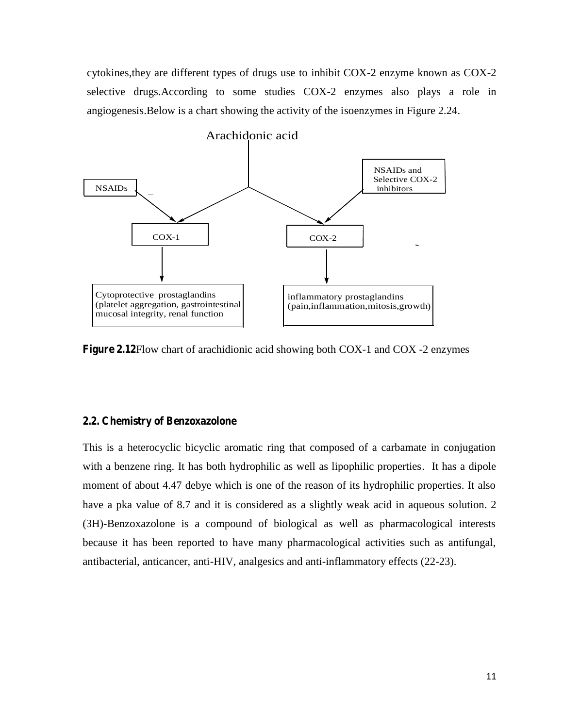cytokines,they are different types of drugs use to inhibit COX-2 enzyme known as COX-2 selective drugs.According to some studies COX-2 enzymes also plays a role in angiogenesis.Below is a chart showing the activity of the isoenzymes in Figure 2.24.



**Figure 2.12**Flow chart of arachidionic acid showing both COX-1 and COX -2 enzymes

#### **2.2. Chemistry of Benzoxazolone**

This is a heterocyclic bicyclic aromatic ring that composed of a carbamate in conjugation with a benzene ring. It has both hydrophilic as well as lipophilic properties. It has a dipole moment of about 4.47 debye which is one of the reason of its hydrophilic properties. It also have a pka value of 8.7 and it is considered as a slightly weak acid in aqueous solution. 2 (3H)-Benzoxazolone is a compound of biological as well as pharmacological interests because it has been reported to have many pharmacological activities such as antifungal, antibacterial, anticancer, anti-HIV, analgesics and anti-inflammatory effects (22-23).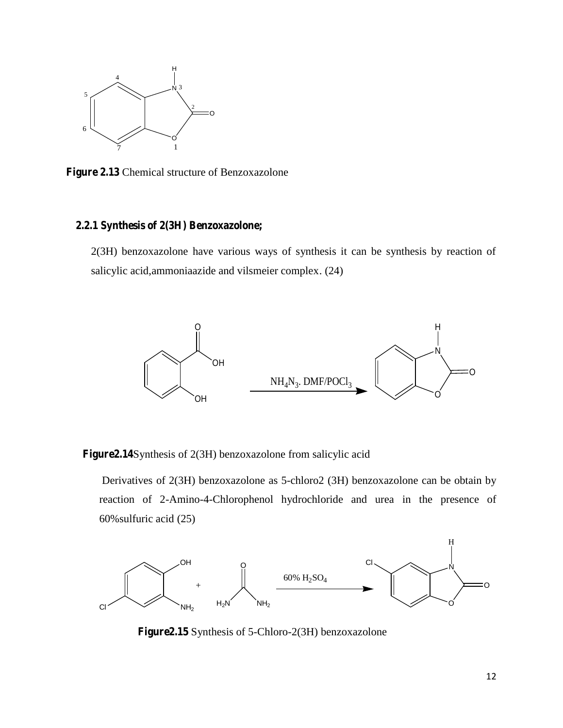

**Figure 2.13** Chemical structure of Benzoxazolone

## **2.2.1 Synthesis of 2(3H) Benzoxazolone;**

2(3H) benzoxazolone have various ways of synthesis it can be synthesis by reaction of salicylic acid,ammoniaazide and vilsmeier complex. (24)



**Figure2.14**Synthesis of 2(3H) benzoxazolone from salicylic acid

Derivatives of 2(3H) benzoxazolone as 5-chloro2 (3H) benzoxazolone can be obtain by reaction of 2-Amino-4-Chlorophenol hydrochloride and urea in the presence of 60%sulfuric acid (25)



**Figure2.15** Synthesis of 5-Chloro-2(3H) benzoxazolone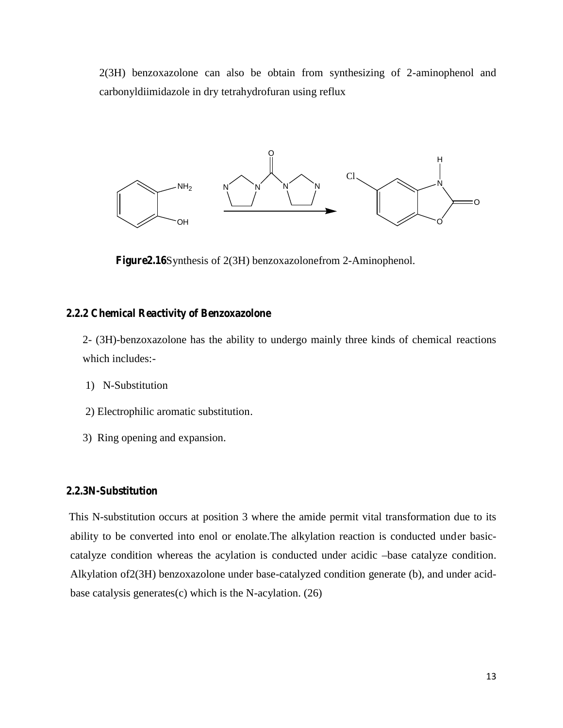2(3H) benzoxazolone can also be obtain from synthesizing of 2-aminophenol and carbonyldiimidazole in dry tetrahydrofuran using reflux



**Figure2.16**Synthesis of 2(3H) benzoxazolonefrom 2-Aminophenol.

#### **2.2.2 Chemical Reactivity of Benzoxazolone**

2- (3H)-benzoxazolone has the ability to undergo mainly three kinds of chemical reactions which includes:-

- 1) N-Substitution
- 2) Electrophilic aromatic substitution.
- 3) Ring opening and expansion.

## **2.2.3N-Substitution**

This N-substitution occurs at position 3 where the amide permit vital transformation due to its ability to be converted into enol or enolate.The alkylation reaction is conducted under basic catalyze condition whereas the acylation is conducted under acidic –base catalyze condition. Alkylation of2(3H) benzoxazolone under base-catalyzed condition generate (b), and under acid base catalysis generates(c) which is the N-acylation. (26)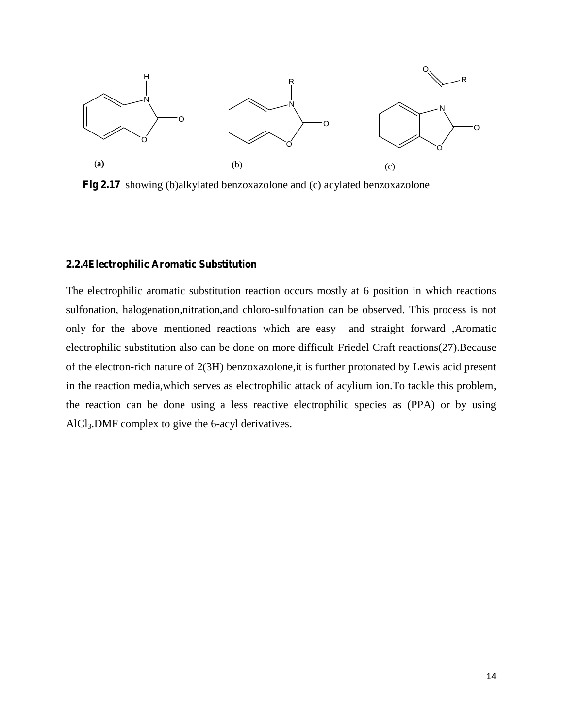

**Fig 2.17** showing (b)alkylated benzoxazolone and (c) acylated benzoxazolone

#### **2.2.4Electrophilic Aromatic Substitution**

The electrophilic aromatic substitution reaction occurs mostly at 6 position in which reactions sulfonation, halogenation,nitration,and chloro-sulfonation can be observed. This process is not only for the above mentioned reactions which are easy and straight forward ,Aromatic electrophilic substitution also can be done on more difficult Friedel Craft reactions(27).Because of the electron-rich nature of 2(3H) benzoxazolone,it is further protonated by Lewis acid present in the reaction media,which serves as electrophilic attack of acylium ion.To tackle this problem, the reaction can be done using a less reactive electrophilic species as (PPA) or by using AlCl3.DMF complex to give the 6-acyl derivatives.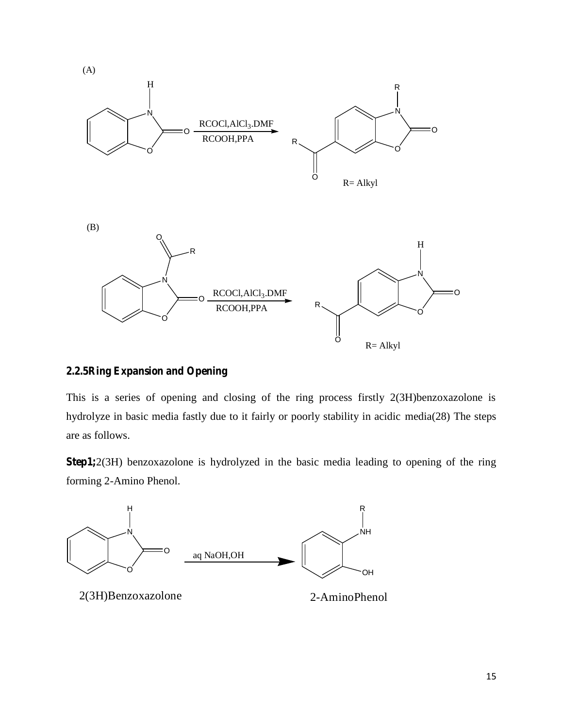

## **2.2.5Ring Expansion and Opening**

This is a series of opening and closing of the ring process firstly 2(3H)benzoxazolone is hydrolyze in basic media fastly due to it fairly or poorly stability in acidic media(28) The steps are as follows.

**Step1;**2(3H) benzoxazolone is hydrolyzed in the basic media leading to opening of the ring forming 2-Amino Phenol.

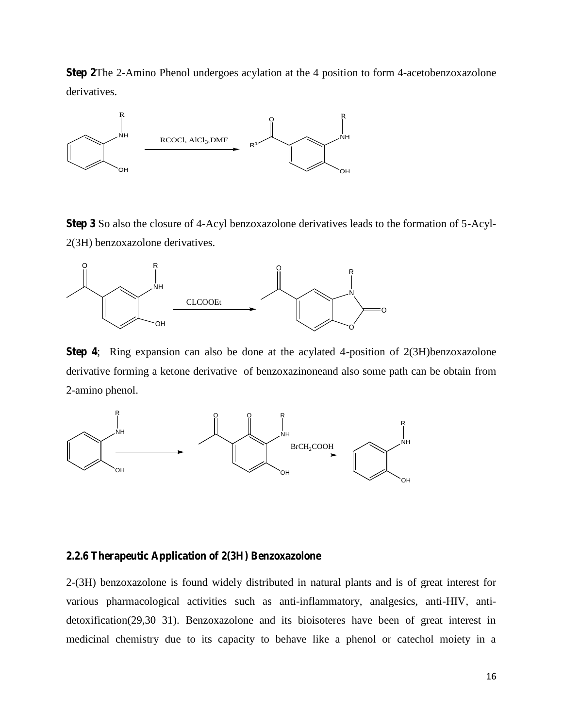**Step 2**The 2-Amino Phenol undergoes acylation at the 4 position to form 4-acetobenzoxazolone derivatives.



**Step 3** So also the closure of 4-Acyl benzoxazolone derivatives leads to the formation of 5-Acyl- 2(3H) benzoxazolone derivatives.



**Step 4**; Ring expansion can also be done at the acylated 4-position of 2(3H)benzoxazolone derivative forming a ketone derivative of benzoxazinoneand also some path can be obtain from 2-amino phenol.



#### **2.2.6 Therapeutic Application of 2(3H) Benzoxazolone**

2-(3H) benzoxazolone is found widely distributed in natural plants and is of great interest for various pharmacological activities such as anti-inflammatory, analgesics, anti-HIV, anti detoxification(29,30 31). Benzoxazolone and its bioisoteres have been of great interest in medicinal chemistry due to its capacity to behave like a phenol or catechol moiety in a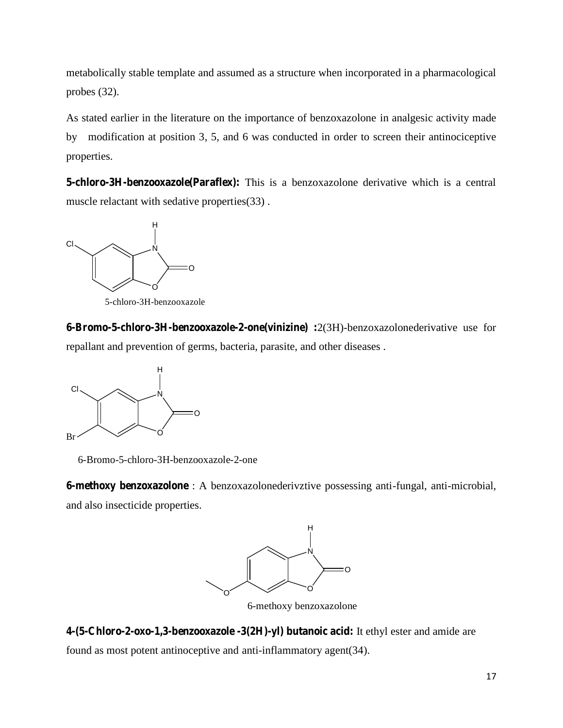metabolically stable template and assumed as a structure when incorporated in a pharmacological probes (32).

As stated earlier in the literature on the importance of benzoxazolone in analgesic activity made by modification at position 3, 5, and 6 was conducted in order to screen their antinociceptive properties.

**5-chloro-3H-benzooxazole(Paraflex):** This is a benzoxazolone derivative which is a central muscle relactant with sedative properties(33) .



5-chloro-3H-benzooxazole

**6-Bromo-5-chloro-3H-benzooxazole-2-one(vinizine) :**2(3H)-benzoxazolonederivative use for repallant and prevention of germs, bacteria, parasite, and other diseases .



6-Bromo-5-chloro-3H-benzooxazole-2-one

**6-methoxy benzoxazolone** : A benzoxazolonederivztive possessing anti-fungal, anti-microbial, and also insecticide properties.



6-methoxy benzoxazolone

**4-(5-Chloro-2-oxo-1,3-benzooxazole -3(2H)-yl) butanoic acid:** It ethyl ester and amide are found as most potent antinoceptive and anti-inflammatory agent(34).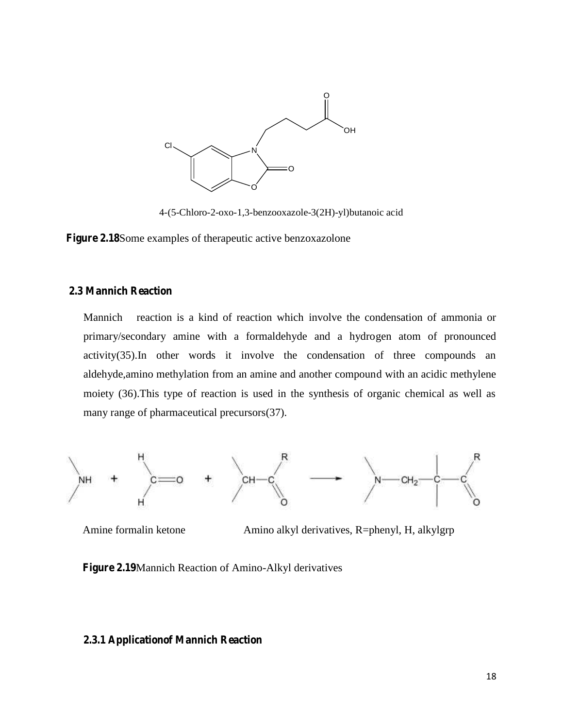

4-(5-Chloro-2-oxo-1,3-benzooxazole-3(2H)-yl)butanoic acid acid

**Figure 2.18**Some examples of therapeutic active benzoxazolone

#### **2.3 Mannich Reaction**

Mannich reaction is a kind of reaction which involve the condensation of ammonia or primary/secondary amine with a formaldehyde and a hydrogen atom of pronounced activity(35).In other words it involve the condensation of three compounds an aldehyde,amino methylation from an amine and another compound with an acidic methylene moiety (36).This type of reaction is used in the synthesis of organic chemical as well as many range of pharmaceutical precursors(37). Mannich reaction is a kind of reaction which involve the condensation of am<br>primary/secondary amine with a formaldehyde and a hydrogen atom of pr<br>activity(35).In other words it involve the condensation of three compo<br>alde



Amine formalin ketone Amino alkyl derivatives, R=phenyl, H, alkylgrp

**Figure 2.19**Mannich Reaction of Amino-Alkyl derivatives

#### **2.3.1 Applicationof Mannich Reaction**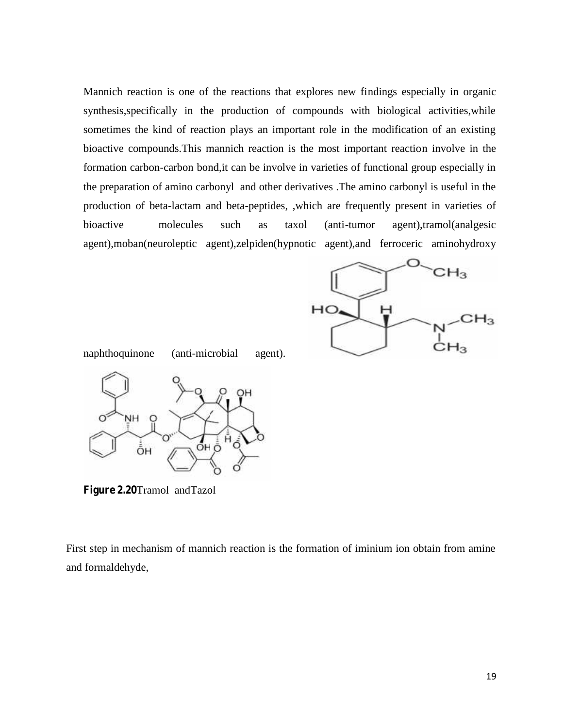Mannich reaction is one of the reactions that explores new findings especially in organic synthesis,specifically in the production of compounds with biological activities,while sometimes the kind of reaction plays an important role in the modification of an existing bioactive compounds.This mannich reaction is the most important reaction involve in the formation carbon-carbon bond,it can be involve in varieties of functional group especially in the preparation of amino carbonyl and other derivatives .The amino carbonyl is useful in the production of beta-lactam and beta-peptides, ,which are frequently present in varieties of bioactive molecules such as taxol (anti-tumor agent),tramol(analgesic agent),moban(neuroleptic agent),zelpiden(hypnotic agent),and ferroceric aminohydroxy reaction is one of the reactions that explores new findings especially in organic<br>specifically in the production of compounds with biological activities, while<br>is the kind of reaction plays an important role in the modific



naphthoquinone (anti-microbial agent).



**Figure 2.20**Tramol andTazol **Figure 2.20**

Figure 2.20Tramol and Tazol<br>First step in mechanism of mannich reaction is the formation of iminium ion obtain from amine and formaldehyde,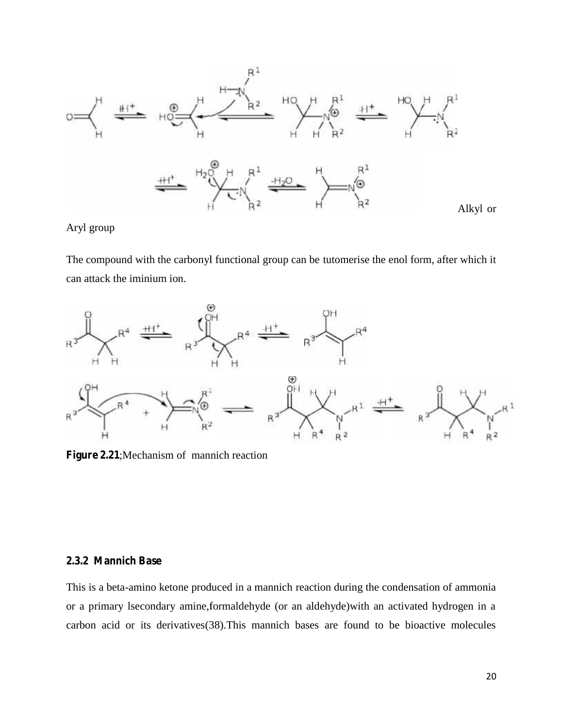

Aryl group

The compound with the carbonyl functional group can be tutomerise the enol form, after which it can attack the iminium ion.



**Figure 2.21**;Mechanism of mannich reaction

## **2.3.2 Mannich Base**

This is a beta-amino ketone produced in a mannich reaction during the condensation of ammonia or a primary lsecondary amine,formaldehyde (or an aldehyde)with an activated hydrogen in a carbon acid or its derivatives(38).This mannich bases are found to be bioactive molecules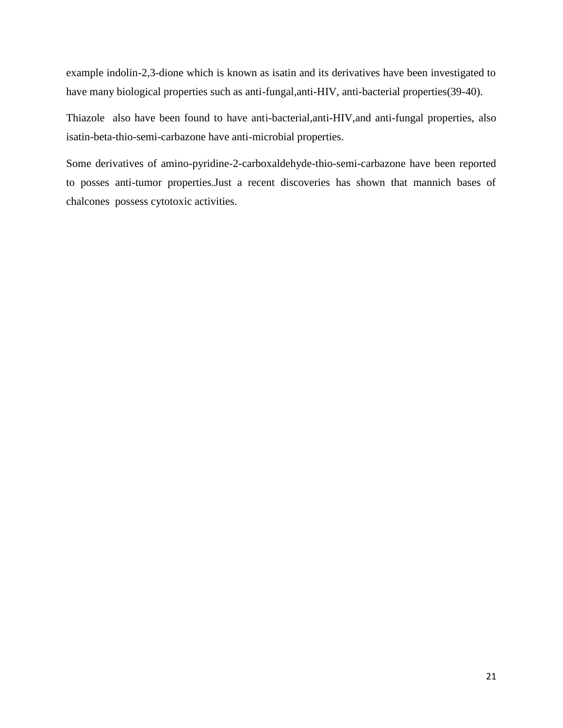example indolin-2,3-dione which is known as isatin and its derivatives have been investigated to have many biological properties such as anti-fungal,anti-HIV, anti-bacterial properties(39-40).

Thiazole also have been found to have anti-bacterial,anti-HIV,and anti-fungal properties, also isatin-beta-thio-semi-carbazone have anti-microbial properties.

Some derivatives of amino-pyridine-2-carboxaldehyde-thio-semi-carbazone have been reported to posses anti-tumor properties.Just a recent discoveries has shown that mannich bases of chalcones possess cytotoxic activities.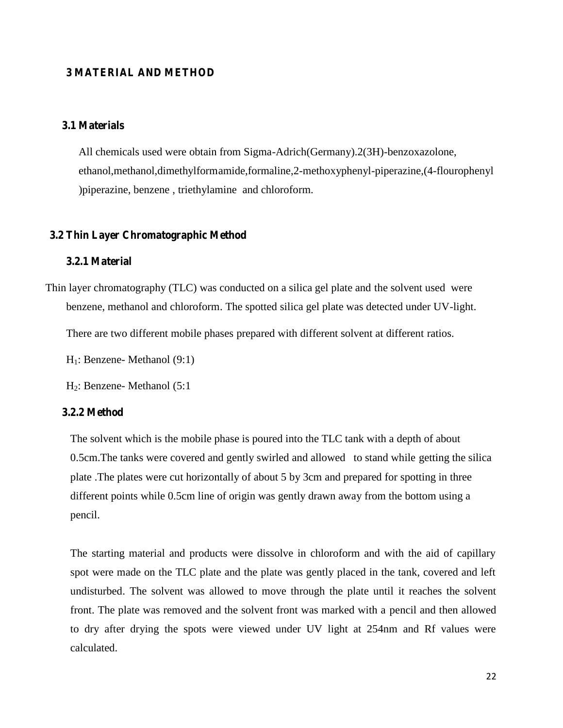## **3 MATERIAL AND METHOD**

#### **3.1 Materials**

All chemicals used were obtain from Sigma-Adrich(Germany).2(3H)-benzoxazolone, ethanol,methanol,dimethylformamide,formaline,2-methoxyphenyl-piperazine,(4-flourophenyl )piperazine, benzene , triethylamine and chloroform.

### **3.2 Thin Layer Chromatographic Method**

#### **3.2.1 Material**

Thin layer chromatography (TLC) was conducted on a silica gel plate and the solvent used were benzene, methanol and chloroform. The spotted silica gel plate was detected under UV-light.

There are two different mobile phases prepared with different solvent at different ratios.

H1: Benzene- Methanol (9:1)

H2: Benzene- Methanol (5:1

#### **3.2.2 Method**

The solvent which is the mobile phase is poured into the TLC tank with a depth of about 0.5cm.The tanks were covered and gently swirled and allowed to stand while getting the silica plate .The plates were cut horizontally of about 5 by 3cm and prepared for spotting in three different points while 0.5cm line of origin was gently drawn away from the bottom using a pencil.

The starting material and products were dissolve in chloroform and with the aid of capillary spot were made on the TLC plate and the plate was gently placed in the tank, covered and left undisturbed. The solvent was allowed to move through the plate until it reaches the solvent front. The plate was removed and the solvent front was marked with a pencil and then allowed to dry after drying the spots were viewed under UV light at 254nm and Rf values were calculated.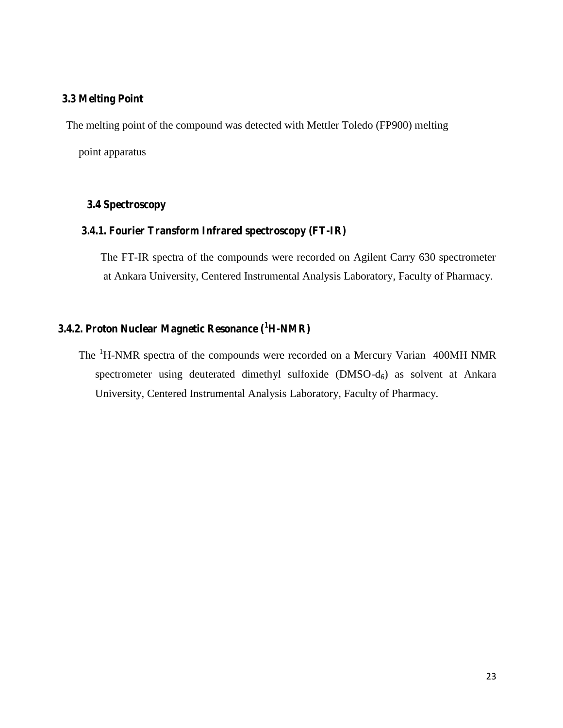## **3.3 Melting Point**

The melting point of the compound was detected with Mettler Toledo (FP900) melting

point apparatus

## **3.4 Spectroscopy**

#### **3.4.1. Fourier Transform Infrared spectroscopy (FT-IR)**

The FT-IR spectra of the compounds were recorded on Agilent Carry 630 spectrometer at Ankara University, Centered Instrumental Analysis Laboratory, Faculty of Pharmacy.

## **3.4.2. Proton Nuclear Magnetic Resonance (<sup>1</sup>H-NMR)**

The <sup>1</sup>H-NMR spectra of the compounds were recorded on a Mercury Varian 400MH NMR spectrometer using deuterated dimethyl sulfoxide  $(DMSO-d<sub>6</sub>)$  as solvent at Ankara University, Centered Instrumental Analysis Laboratory, Faculty of Pharmacy.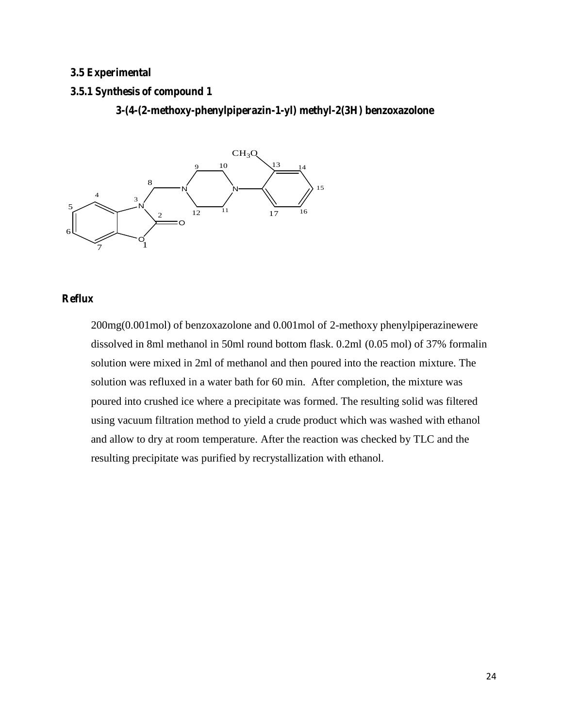## **3.5 Experimental**

#### **3.5.1 Synthesis of compound 1**

**3-(4-(2-methoxy-phenylpiperazin-1-yl) methyl-2(3H) benzoxazolone**



## **Reflux**

200mg(0.001mol) of benzoxazolone and 0.001mol of 2-methoxy phenylpiperazinewere dissolved in 8ml methanol in 50ml round bottom flask. 0.2ml (0.05 mol) of 37% formalin solution were mixed in 2ml of methanol and then poured into the reaction mixture. The solution was refluxed in a water bath for 60 min. After completion, the mixture was poured into crushed ice where a precipitate was formed. The resulting solid was filtered using vacuum filtration method to yield a crude product which was washed with ethanol and allow to dry at room temperature. After the reaction was checked by TLC and the resulting precipitate was purified by recrystallization with ethanol.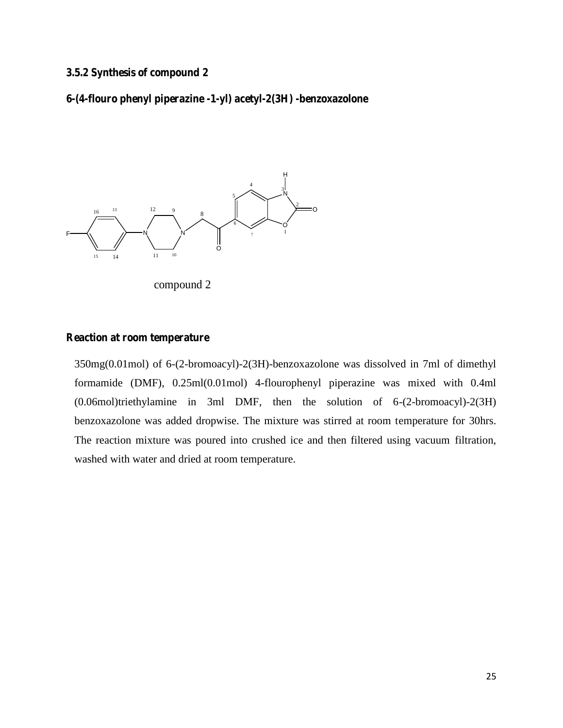## **3.5.2 Synthesis of compound 2**

**6-(4-flouro phenyl piperazine -1-yl) acetyl-2(3H) -benzoxazolone**



compound 2

#### **Reaction at room temperature**

350mg(0.01mol) of 6-(2-bromoacyl)-2(3H)-benzoxazolone was dissolved in 7ml of dimethyl formamide (DMF), 0.25ml(0.01mol) 4-flourophenyl piperazine was mixed with 0.4ml (0.06mol)triethylamine in 3ml DMF, then the solution of 6-(2-bromoacyl)-2(3H) benzoxazolone was added dropwise. The mixture was stirred at room temperature for 30hrs. The reaction mixture was poured into crushed ice and then filtered using vacuum filtration, washed with water and dried at room temperature.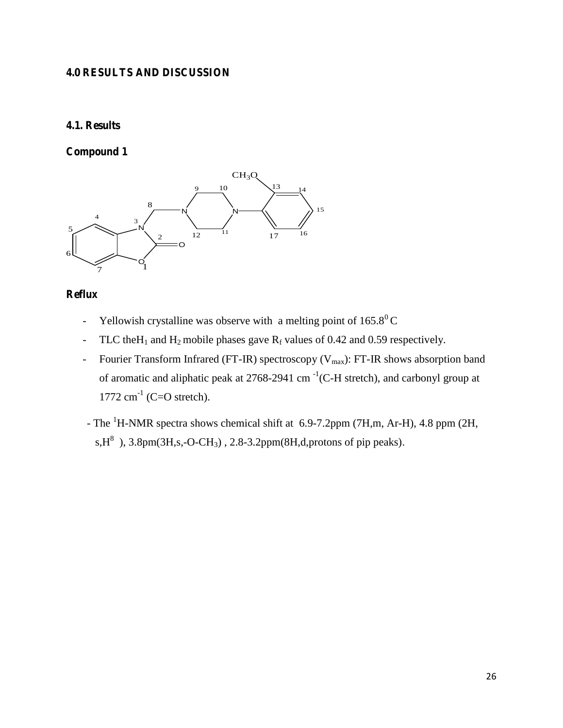## **4.0 RESULTS AND DISCUSSION**

## **4.1. Results**

**Compound 1**



## **Reflux**

- Yellowish crystalline was observe with a melting point of  $165.8^{\circ}$ C
- TLC the H<sub>1</sub> and H<sub>2</sub> mobile phases gave R<sub>f</sub> values of 0.42 and 0.59 respectively.
- Fourier Transform Infrared (FT-IR) spectroscopy ( $V_{max}$ ): FT-IR shows absorption band of aromatic and aliphatic peak at 2768-2941 cm<sup>-1</sup>(C-H stretch), and carbonyl group at  $1772 \text{ cm}^{-1}$  (C=O stretch).
- The <sup>1</sup>H-NMR spectra shows chemical shift at 6.9-7.2ppm (7H,m, Ar-H), 4.8 ppm (2H, s,  $H^8$ ), 3.8pm(3H,s,-O-CH<sub>3</sub>), 2.8-3.2ppm(8H,d,protons of pip peaks).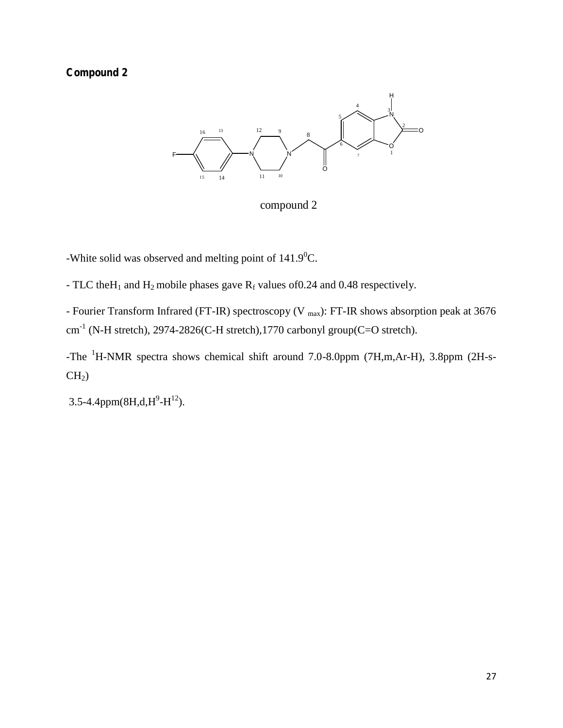## **Compound 2**



compound 2

-White solid was observed and melting point of  $141.9^0C$ .

- TLC the H<sub>1</sub> and H<sub>2</sub> mobile phases gave R<sub>f</sub> values of 0.24 and 0.48 respectively.

- Fourier Transform Infrared (FT-IR) spectroscopy (V <sub>max</sub>): FT-IR shows absorption peak at 3676  $\text{cm}^{\text{-1}}$  (N-H stretch), 2974-2826(C-H stretch),1770 carbonyl group(C=O stretch).

-The <sup>1</sup>H-NMR spectra shows chemical shift around 7.0-8.0ppm (7H,m,Ar-H), 3.8ppm (2H-s-  $CH<sub>2</sub>$ )

3.5-4.4ppm(8H,d,H<sup>9</sup>-H<sup>12</sup>).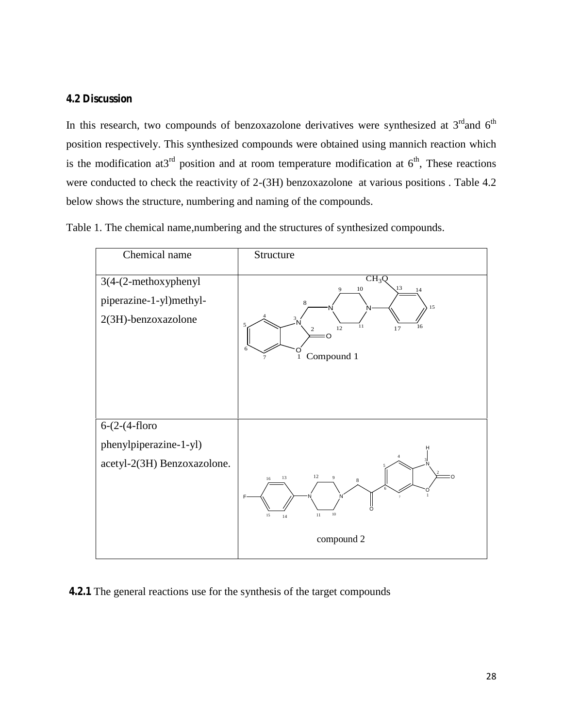## **4.2 Discussion**

In this research, two compounds of benzoxazolone derivatives were synthesized at  $3<sup>rd</sup>$  and  $6<sup>th</sup>$ position respectively. This synthesized compounds were obtained using mannich reaction which is the modification at  $3^{rd}$  position and at room temperature modification at  $6^{th}$ , These reactions were conducted to check the reactivity of 2-(3H) benzoxazolone at various positions . Table 4.2 below shows the structure, numbering and naming of the compounds.

Table 1. The chemical name,numbering and the structures of synthesized compounds.



**4.2.1** The general reactions use for the synthesis of the target compounds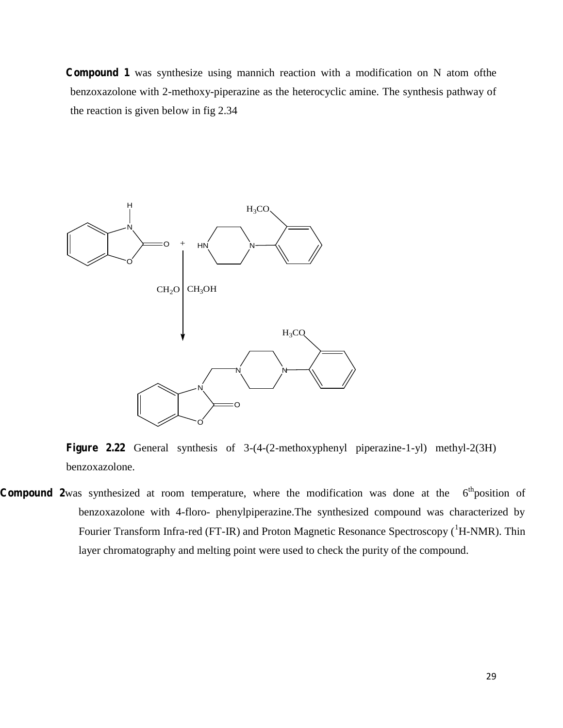**Compound 1** was synthesize using mannich reaction with a modification on N atom ofthe benzoxazolone with 2-methoxy-piperazine as the heterocyclic amine. The synthesis pathway of the reaction is given below in fig 2.34



**Figure 2.22** General synthesis of 3-(4-(2-methoxyphenyl piperazine-1-yl) methyl-2(3H) benzoxazolone.

**Compound 2**was synthesized at room temperature, where the modification was done at the 6  $6<sup>th</sup>$  position of benzoxazolone with 4-floro- phenylpiperazine.The synthesized compound was characterized by Fourier Transform Infra-red (FT-IR) and Proton Magnetic Resonance Spectroscopy (<sup>1</sup>H-NMR). Thin layer chromatography and melting point were used to check the purity of the compound.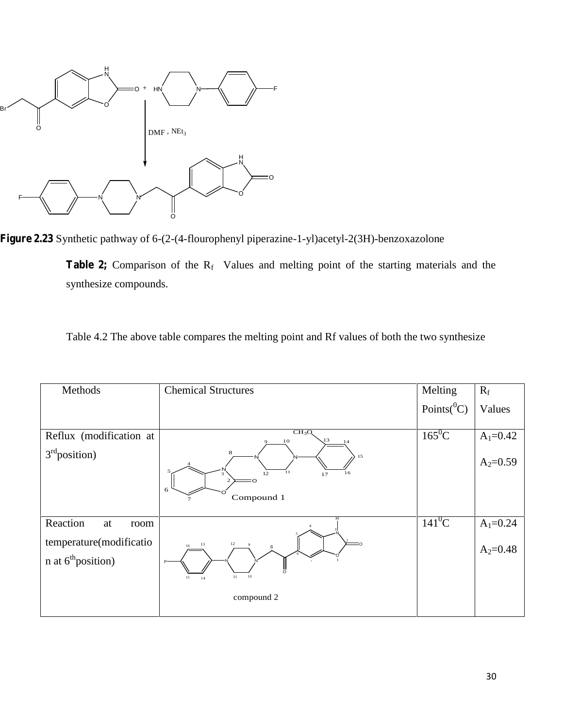

**Figure 2.23** Synthetic pathway of 6-(2-(4-flourophenyl piperazine-1-yl)acetyl-2(3H)-benzoxazolone

Table 2; Comparison of the R<sub>f</sub> Values and melting point of the starting materials and the synthesize compounds.

| Table 4.2 The above table compares the melting point and Rf values of both the two synthesize |  |
|-----------------------------------------------------------------------------------------------|--|
|                                                                                               |  |

| Methods                                           | <b>Chemical Structures</b>                                                                                                         | Melting           | $R_f$                        |
|---------------------------------------------------|------------------------------------------------------------------------------------------------------------------------------------|-------------------|------------------------------|
|                                                   |                                                                                                                                    | Points( ${}^0C$ ) | Values                       |
| Reflux (modification at<br>$3rd$ position)        | CH <sub>3</sub> O <sub>3</sub><br>13<br>10<br>14<br>8<br>15<br>5<br>11<br>16<br>12<br>17<br>3<br>6<br>Compound 1<br>$\overline{7}$ | $165^0C$          | $A_1 = 0.42$<br>$A_2 = 0.59$ |
| Reaction<br>at<br>room                            |                                                                                                                                    | $141^0C$          | $A_1 = 0.24$                 |
| temperature(modificatio<br>$n$ at $6th$ position) | 12<br>13<br>-9<br>$16\,$<br>$10\,$<br>11<br>15<br>14                                                                               |                   | $A_2 = 0.48$                 |
|                                                   | compound 2                                                                                                                         |                   |                              |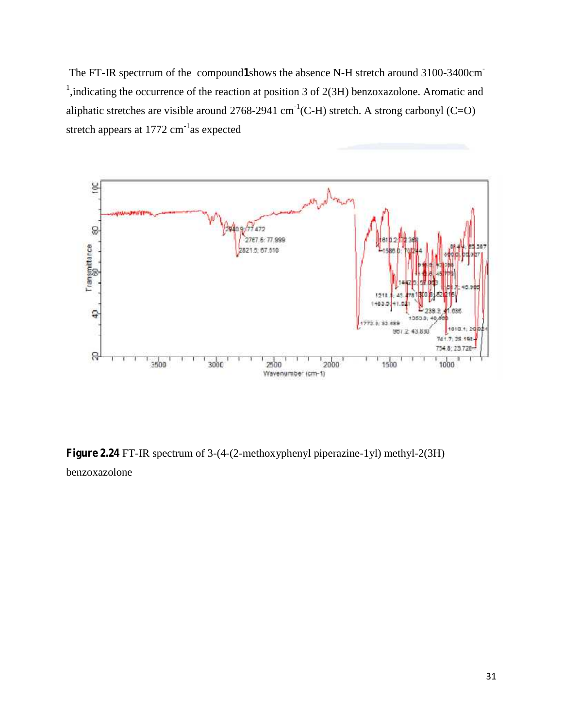The FT-IR spectrrum of the compound**1**shows the absence N-H stretch around 3100-3400cm- <sup>1</sup>, indicating the occurrence of the reaction at position 3 of 2(3H) benzoxazolone. Aromatic and aliphatic stretches are visible around 2768-2941 cm<sup>-1</sup>(C-H) stretch. A strong carbonyl (C=O) stretch appears at 1772 cm<sup>-1</sup>as expected



**Figure 2.24** FT-IR spectrum of 3-(4-(2-methoxyphenyl piperazine-1yl) methyl-2(3H) benzoxazolone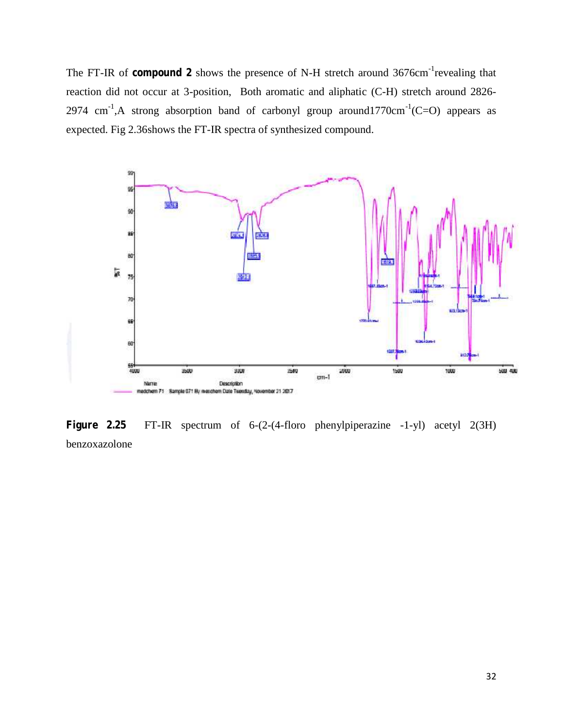The FT-IR of **compound 2** shows the presence of N-H stretch around 3676cm<sup>-1</sup> revealing that reaction did not occur at 3-position, Both aromatic and aliphatic (C-H) stretch around 2826- 2974  $\text{cm}^{-1}$ , A strong absorption band of carbonyl group around 1770 $\text{cm}^{-1}$  (C=O) appears as expected. Fig 2.36shows the FT-IR spectra of synthesized compound.



**Figure 2.25** FT-IR spectrum of 6-(2-(4-floro phenylpiperazine -1-yl) acetyl 2(3H) benzoxazolone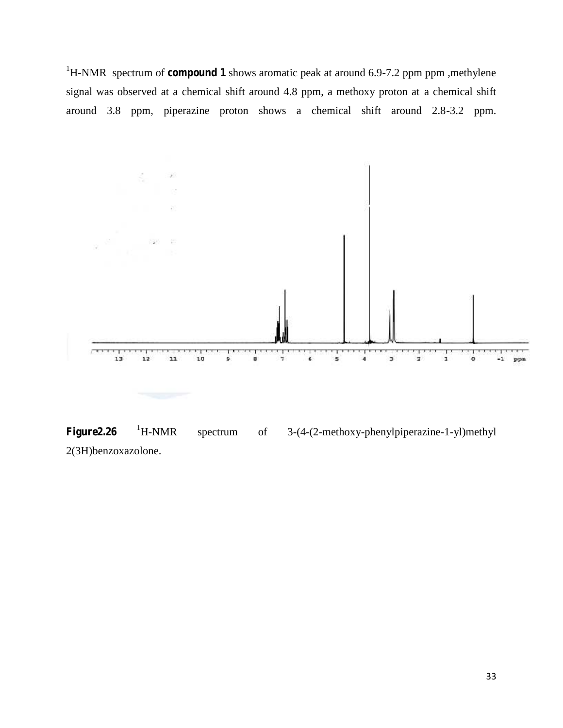<sup>1</sup>H-NMR spectrum of **compound 1** shows aromatic peak at around 6.9-7.2 ppm ppm, methylene signal was observed at a chemical shift around 4.8 ppm, a methoxy proton at a chemical shift around 3.8 ppm, piperazine proton shows a chemical shift around 2.8-3.2 ppm.



Figure2.26 <sup>1</sup>H-NMR spectrum of 3-(4-(2-methoxy-phenylpiperazine-1-yl)methyl 2(3H)benzoxazolone.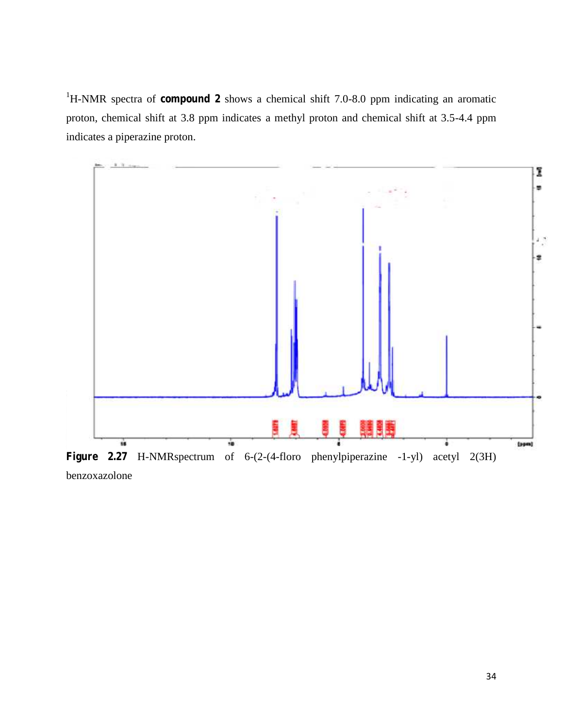<sup>1</sup>H-NMR spectra of **compound 2** shows a chemical shift 7.0-8.0 ppm indicating an aromatic proton, chemical shift at 3.8 ppm indicates a methyl proton and chemical shift at 3.5-4.4 ppm indicates a piperazine proton.



benzoxazolone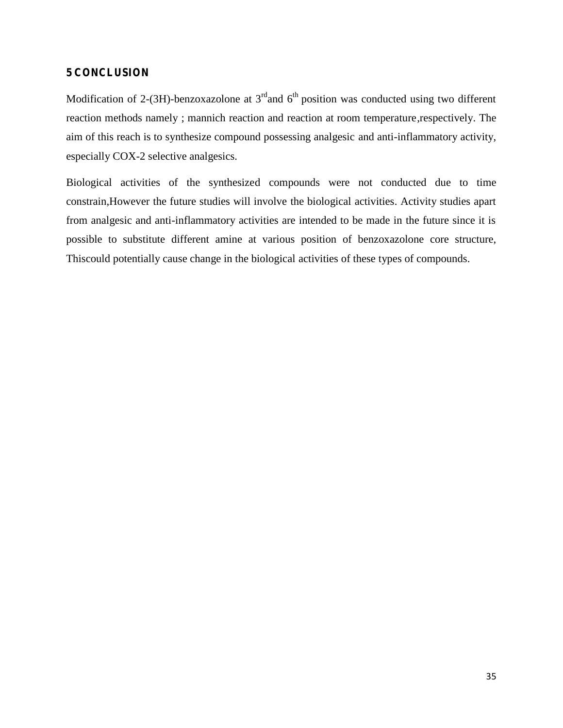## **5 CONCLUSION**

Modification of 2-(3H)-benzoxazolone at  $3<sup>rd</sup>$  and  $6<sup>th</sup>$  position was conducted using two different reaction methods namely ; mannich reaction and reaction at room temperature,respectively. The aim of this reach is to synthesize compound possessing analgesic and anti-inflammatory activity, especially COX-2 selective analgesics.

Biological activities of the synthesized compounds were not conducted due to time constrain,However the future studies will involve the biological activities. Activity studies apart from analgesic and anti-inflammatory activities are intended to be made in the future since it is possible to substitute different amine at various position of benzoxazolone core structure, Thiscould potentially cause change in the biological activities of these types of compounds.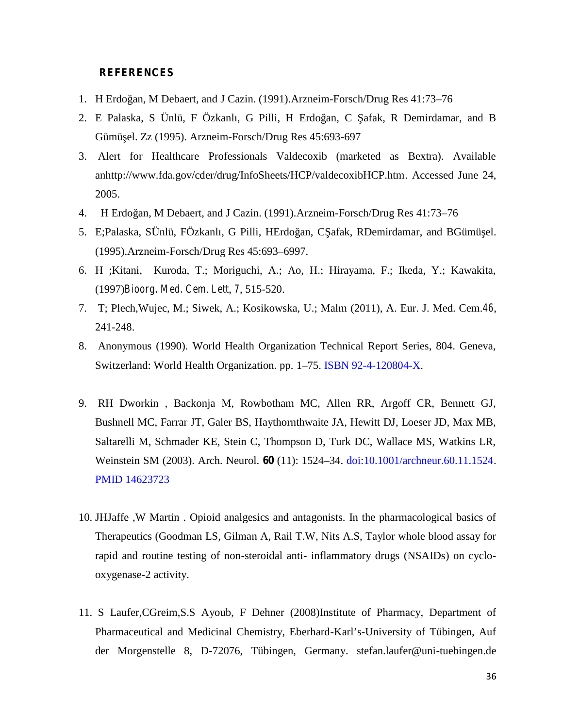#### **REFERENCES**

- 1. H Erdoğan, M Debaert, and J Cazin. (1991).Arzneim-Forsch/Drug Res 41:73–76
- 2. E Palaska, S Ünlü, F Özkanlı, G Pilli, H Erdo an, C afak, R Demirdamar, and B Gümü el. Zz (1995). Arzneim-Forsch/Drug Res 45:693-697
- 3. Alert for Healthcare Professionals Valdecoxib (marketed as Bextra). Available anhttp://www.fda.gov/cder/drug/InfoSheets/HCP/valdecoxibHCP.htm. Accessed June 24, 2005.
- 4. H Erdoğan, M Debaert, and J Cazin. (1991).Arzneim-Forsch/Drug Res 41:73–76
- 5. E;Palaska, SÜnlü, FÖzkanlı, G Pilli, HErdo an, C afak, RDemirdamar, and BGümü el. (1995).Arzneim-Forsch/Drug Res 45:693–6997.
- 6. H ;Kitani, Kuroda, T.; Moriguchi, A.; Ao, H.; Hirayama, F.; Ikeda, Y.; Kawakita, (1997)*Bioorg. Med. Cem*. *Lett*, *7*, 515-520.
- 7. T; Plech,Wujec, M.; Siwek, A.; Kosikowska, U.; Malm (2011), A. Eur. J. Med. Cem.*46*, 241-248.
- 8. Anonymous (1990). World Health Organization Technical Report Series, 804. Geneva, Switzerland: World Health Organization. pp. 1–75. ISBN 92-4-120804-X.
- 9. RH Dworkin , Backonja M, Rowbotham MC, Allen RR, Argoff CR, Bennett GJ, Bushnell MC, Farrar JT, Galer BS, Haythornthwaite JA, Hewitt DJ, Loeser JD, Max MB, Saltarelli M, Schmader KE, Stein C, Thompson D, Turk DC, Wallace MS, Watkins LR, Weinstein SM (2003). Arch. Neurol. **60** (11): 1524–34. doi:10.1001/archneur.60.11.1524. PMID 14623723
- 10. JHJaffe ,W Martin . Opioid analgesics and antagonists. In the pharmacological basics of Therapeutics (Goodman LS, Gilman A, Rail T.W, Nits A.S, Taylor whole blood assay for rapid and routine testing of non-steroidal anti- inflammatory drugs (NSAIDs) on cyclo oxygenase-2 activity.
- 11. S Laufer,CGreim,S.S Ayoub, F Dehner (2008)Institute of Pharmacy, Department of Pharmaceutical and Medicinal Chemistry, Eberhard-Karl's-University of Tübingen, Auf der Morgenstelle 8, D-72076, Tübingen, Germany. stefan.laufer@uni-tuebingen.de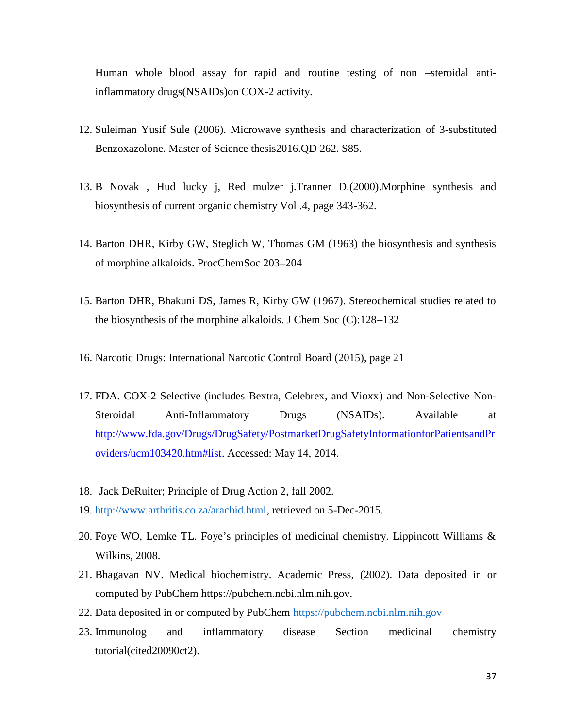Human whole blood assay for rapid and routine testing of non –steroidal antiinflammatory drugs(NSAIDs)on COX-2 activity.

- 12. Suleiman Yusif Sule (2006). Microwave synthesis and characterization of 3-substituted Benzoxazolone. Master of Science thesis2016.QD 262. S85.
- 13. B Novak , Hud lucky j, Red mulzer j.Tranner D.(2000).Morphine synthesis and biosynthesis of current organic chemistry Vol .4, page 343-362.
- 14. Barton DHR, Kirby GW, Steglich W, Thomas GM (1963) the biosynthesis and synthesis of morphine alkaloids. ProcChemSoc 203–204
- 15. Barton DHR, Bhakuni DS, James R, Kirby GW (1967). Stereochemical studies related to the biosynthesis of the morphine alkaloids. J Chem Soc (C):128–132
- 16. Narcotic Drugs: International Narcotic Control Board (2015), page 21
- 17. FDA. COX-2 Selective (includes Bextra, Celebrex, and Vioxx) and Non-Selective Non- Steroidal Anti-Inflammatory Drugs (NSAIDs). Available at http://www.fda.gov/Drugs/DrugSafety/PostmarketDrugSafetyInformationforPatientsandPr oviders/ucm103420.htm#list. Accessed: May 14, 2014.
- 18. Jack DeRuiter; Principle of Drug Action 2, fall 2002.
- 19. http://www.arthritis.co.za/arachid.html, retrieved on 5-Dec-2015.
- 20. Foye WO, Lemke TL. Foye's principles of medicinal chemistry. Lippincott Williams & Wilkins, 2008.
- 21. Bhagavan NV. Medical biochemistry. Academic Press, (2002). Data deposited in or computed by PubChem https://pubchem.ncbi.nlm.nih.gov.
- 22. Data deposited in or computed by PubChem https://pubchem.ncbi.nlm.nih.gov
- 23. Immunolog and inflammatory disease Section medicinal chemistry tutorial(cited20090ct2).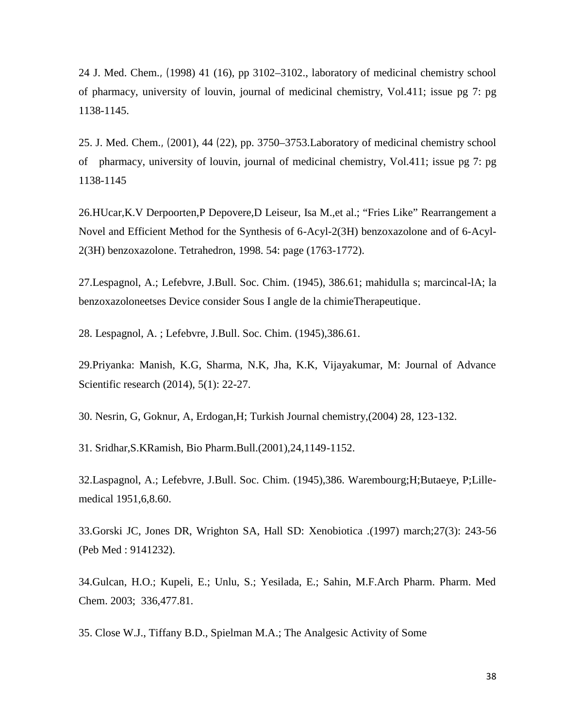24 J. Med. Chem.*, (*1998) 41 (16), pp 3102–3102., laboratory of medicinal chemistry school of pharmacy, university of louvin, journal of medicinal chemistry, Vol.411; issue pg 7: pg 1138-1145.

25. J. Med. Chem.*, (*2001), 44 *(*22), pp. 3750–3753.Laboratory of medicinal chemistry school of pharmacy, university of louvin, journal of medicinal chemistry, Vol.411; issue pg 7: pg 1138-1145

26.HUcar,K.V Derpoorten,P Depovere,D Leiseur, Isa M.,et al.; "Fries Like" Rearrangement a Novel and Efficient Method for the Synthesis of 6-Acyl-2(3H) benzoxazolone and of 6-Acyl- 2(3H) benzoxazolone. Tetrahedron, 1998. 54: page (1763-1772).

27.Lespagnol, A.; Lefebvre, J.Bull. Soc. Chim. (1945), 386.61; mahidulla s; marcincal-lA; la benzoxazoloneetses Device consider Sous I angle de la chimieTherapeutique.

28. Lespagnol, A. ; Lefebvre, J.Bull. Soc. Chim. (1945),386.61.

29.Priyanka: Manish, K.G, Sharma, N.K, Jha, K.K, Vijayakumar, M: Journal of Advance Scientific research (2014), 5(1): 22-27.

30. Nesrin, G, Goknur, A, Erdogan,H; Turkish Journal chemistry,(2004) 28, 123-132.

31. Sridhar,S.KRamish, Bio Pharm.Bull.(2001),24,1149-1152.

32.Laspagnol, A.; Lefebvre, J.Bull. Soc. Chim. (1945),386. Warembourg;H;Butaeye, P;Lille medical 1951,6,8.60.

33.Gorski JC, Jones DR, Wrighton SA, Hall SD: Xenobiotica .(1997) march;27(3): 243-56 (Peb Med : 9141232).

34.Gulcan, H.O.; Kupeli, E.; Unlu, S.; Yesilada, E.; Sahin, M.F.Arch Pharm. Pharm. Med Chem. 2003; 336,477.81.

35. Close W.J., Tiffany B.D., Spielman M.A.; The Analgesic Activity of Some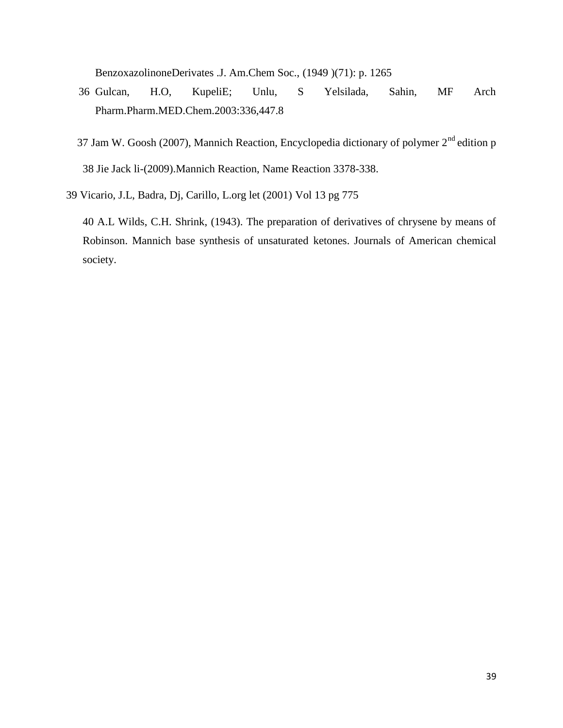BenzoxazolinoneDerivates .J. Am.Chem Soc., (1949 )(71): p. 1265

- 36 Gulcan, H.O, KupeliE; Unlu, S Yelsilada, Sahin, MF Arch Pharm.Pharm.MED.Chem.2003:336,447.8
- 37 Jam W. Goosh (2007), Mannich Reaction, Encyclopedia dictionary of polymer  $2<sup>nd</sup>$  edition p 38 Jie Jack li-(2009).Mannich Reaction, Name Reaction 3378-338.
- 39 Vicario, J.L, Badra, Dj, Carillo, L.org let (2001) Vol 13 pg 775

40 A.L Wilds, C.H. Shrink, (1943). The preparation of derivatives of chrysene by means of Robinson. Mannich base synthesis of unsaturated ketones. Journals of American chemical society.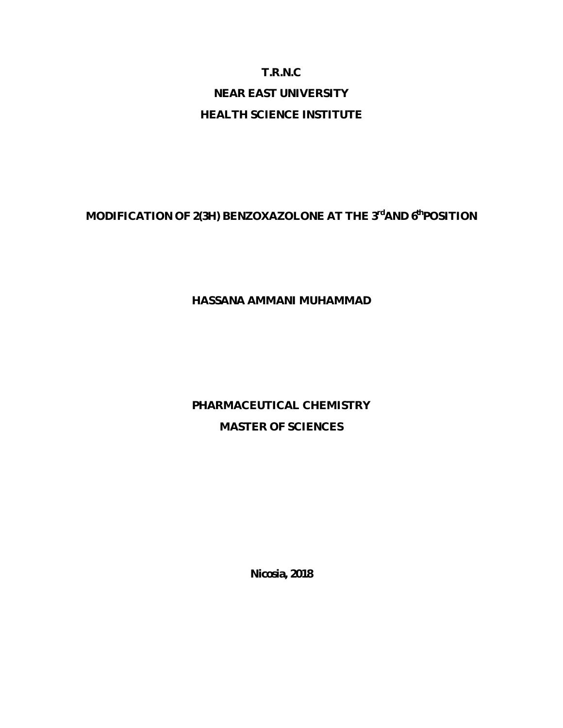# **T.R.N.C NEAR EAST UNIVERSITY HEALTH SCIENCE INSTITUTE**

## **MODIFICATION OF 2(3H) BENZOXAZOLONE AT THE 3 rdAND 6thPOSITION**

## **HASSANA AMMANI MUHAMMAD**

# **PHARMACEUTICAL CHEMISTRY MASTER OF SCIENCES**

**Nicosia, 2018**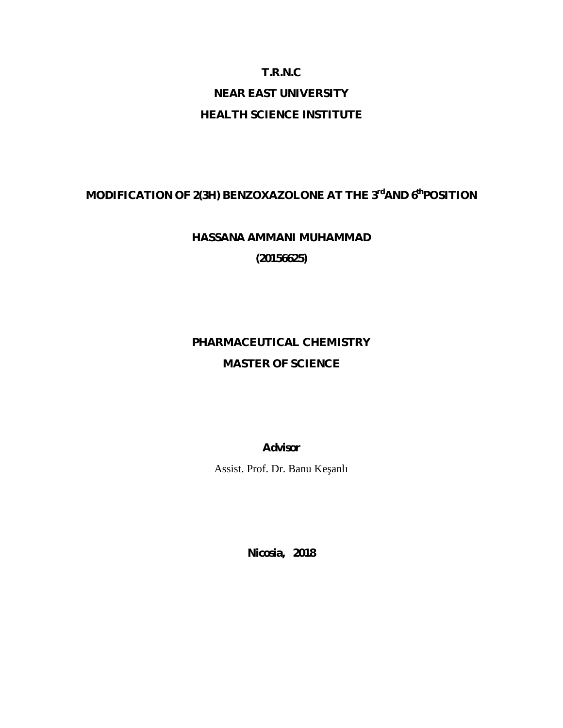## **T.R.N.C**

# **NEAR EAST UNIVERSITY**

## **HEALTH SCIENCE INSTITUTE**

## **MODIFICATION OF 2(3H) BENZOXAZOLONE AT THE 3 rdAND 6thPOSITION**

# **HASSANA AMMANI MUHAMMAD**

**(20156625)**

# **PHARMACEUTICAL CHEMISTRY MASTER OF SCIENCE**

**Advisor**

Assist. Prof. Dr. Banu Ke anlı

**Nicosia, 2018**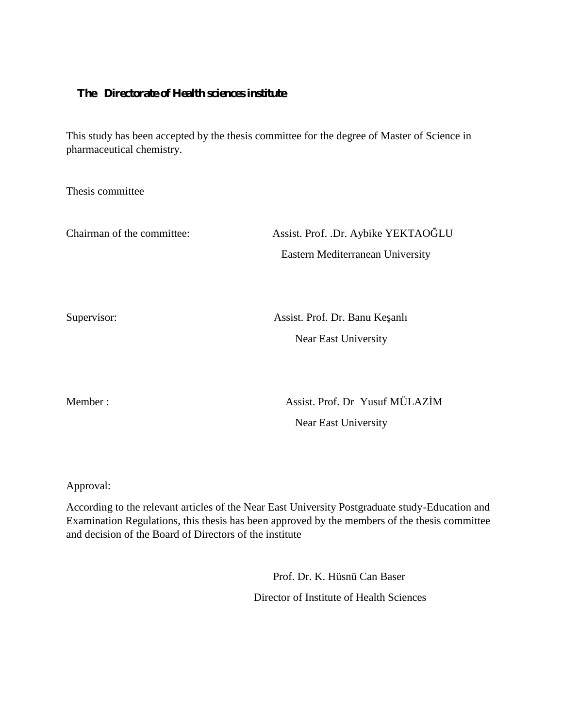## **The Directorate of Health sciences institute**

This study has been accepted by the thesis committee for the degree of Master of Science in pharmaceutical chemistry.

Thesis committee

Chairman of the committee: Assist. Prof. .Dr. Aybike YEKTAO LU Eastern Mediterranean University

Supervisor: Assist. Prof. Dr. Banu Ke anlı Near East University

Member :  $\qquad \qquad$  Assist. Prof. Dr Yusuf MÜLAZ M Near East University

Approval:

According to the relevant articles of the Near East University Postgraduate study-Education and Examination Regulations, this thesis has been approved by the members of the thesis committee and decision of the Board of Directors of the institute

> Prof. Dr. K. Hüsnü Can Baser Director of Institute of Health Sciences